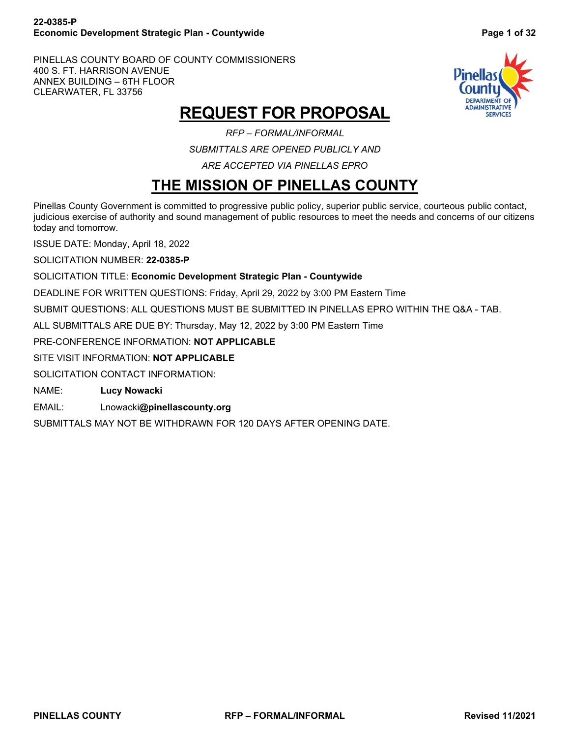### **22-0385-P Economic Development Strategic Plan - Countywide Page 1 of 32**

PINELLAS COUNTY BOARD OF COUNTY COMMISSIONERS 400 S. FT. HARRISON AVENUE ANNEX BUILDING – 6TH FLOOR CLEARWATER, FL 33756



## **REQUEST FOR PROPOSAL**

*RFP – FORMAL/INFORMAL SUBMITTALS ARE OPENED PUBLICLY AND ARE ACCEPTED VIA PINELLAS EPRO*

## **THE MISSION OF PINELLAS COUNTY**

<span id="page-0-0"></span>Pinellas County Government is committed to progressive public policy, superior public service, courteous public contact, judicious exercise of authority and sound management of public resources to meet the needs and concerns of our citizens today and tomorrow.

ISSUE DATE: Monday, April 18, 2022

SOLICITATION NUMBER: **22-0385-P**

### SOLICITATION TITLE: **Economic Development Strategic Plan - Countywide**

DEADLINE FOR WRITTEN QUESTIONS: Friday, April 29, 2022 by 3:00 PM Eastern Time

SUBMIT QUESTIONS: ALL QUESTIONS MUST BE SUBMITTED IN PINELLAS EPRO WITHIN THE Q&A - TAB.

ALL SUBMITTALS ARE DUE BY: Thursday, May 12, 2022 by 3:00 PM Eastern Time

PRE-CONFERENCE INFORMATION: **NOT APPLICABLE**

SITE VISIT INFORMATION: **NOT APPLICABLE**

SOLICITATION CONTACT INFORMATION:

NAME: **Lucy Nowacki**

EMAIL: Lnowacki**@pinellascounty.org**

SUBMITTALS MAY NOT BE WITHDRAWN FOR 120 DAYS AFTER OPENING DATE.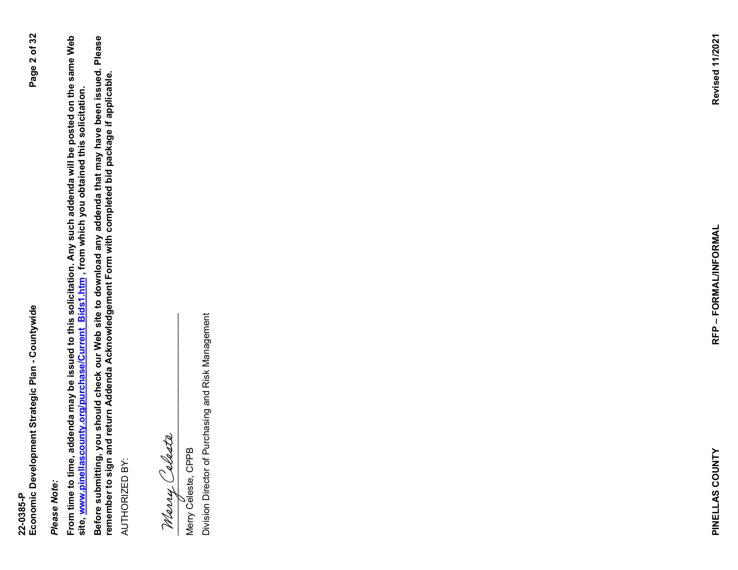# Please Note: *Please Note:*

From time to time, addenda may be issued to this solicitation. Any such addenda will be posted on the same Web<br>site, <u>www.pinellascounty.org/purchase/Current\_Bids1.htm</u> , from which you obtained this solicitation. **From time to time, addenda may be issued to this solicitation. Any such addenda will be posted on the same Web site, [www.pinellascounty.org/purchase/Current\\_Bids1.htm](http://www.pinellascounty.org/purchase/Current_Bids1.htm) , from which you obtained this solicitation.**

**Before submitting, you should check our Web site to download any addenda that may have been issued. Please**  Before submitting, you should check our Web site to download any addenda that may have been issued. Please<br>remember to sign and return Addenda Acknowledgement Form with completed bid package if applicable. **remember to sign and return Addenda Acknowledgement Form with completed bid package if applicable.** AUTHORIZED BY: AUTHORIZED BY:

 $\frac{1}{2}$ 

Merry Celeste, CPPB

Marry Calasta<br>
Merry Celeste, CPPB<br>
Division Director of Purchasing and Risk Management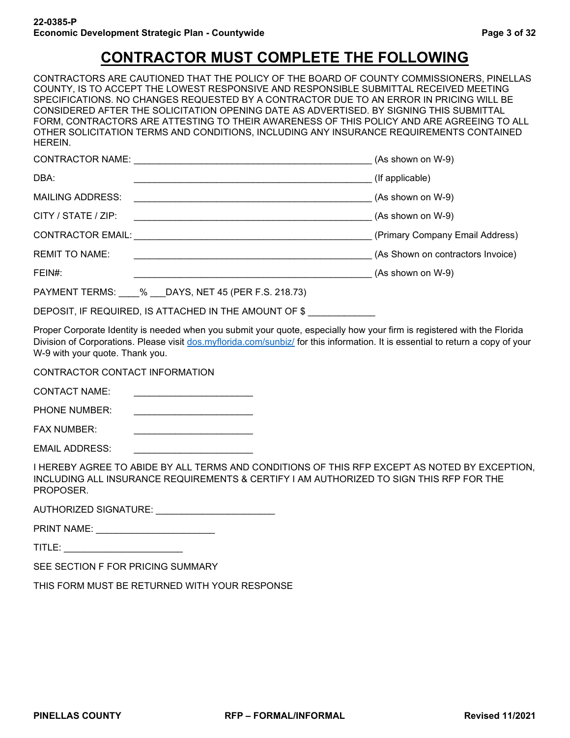## **CONTRACTOR MUST COMPLETE THE FOLLOWING**

<span id="page-2-0"></span>CONTRACTORS ARE CAUTIONED THAT THE POLICY OF THE BOARD OF COUNTY COMMISSIONERS, PINELLAS COUNTY, IS TO ACCEPT THE LOWEST RESPONSIVE AND RESPONSIBLE SUBMITTAL RECEIVED MEETING SPECIFICATIONS. NO CHANGES REQUESTED BY A CONTRACTOR DUE TO AN ERROR IN PRICING WILL BE CONSIDERED AFTER THE SOLICITATION OPENING DATE AS ADVERTISED. BY SIGNING THIS SUBMITTAL FORM, CONTRACTORS ARE ATTESTING TO THEIR AWARENESS OF THIS POLICY AND ARE AGREEING TO ALL OTHER SOLICITATION TERMS AND CONDITIONS, INCLUDING ANY INSURANCE REQUIREMENTS CONTAINED HEREIN.

| <b>CONTRACTOR NAME:</b>                               | (As shown on W-9)                 |
|-------------------------------------------------------|-----------------------------------|
| DBA:                                                  | (If applicable)                   |
| <b>MAILING ADDRESS:</b>                               | (As shown on W-9)                 |
| CITY / STATE / ZIP:                                   | (As shown on W-9)                 |
| <b>CONTRACTOR EMAIL:</b>                              | (Primary Company Email Address)   |
| <b>REMIT TO NAME:</b>                                 | (As Shown on contractors Invoice) |
| FEIN#:                                                | (As shown on W-9)                 |
| PAYMENT TERMS: % DAYS, NET 45 (PER F.S. 218.73)       |                                   |
| DEPOSIT, IF REQUIRED, IS ATTACHED IN THE AMOUNT OF \$ |                                   |

Proper Corporate Identity is needed when you submit your quote, especially how your firm is registered with the Florida Division of Corporations. Please visit [dos.myflorida.com/sunbiz/](https://dos.myflorida.com/sunbiz/) for this information. It is essential to return a copy of your W-9 with your quote. Thank you.

CONTRACTOR CONTACT INFORMATION

CONTACT NAME:

PHONE NUMBER:

FAX NUMBER:

EMAIL ADDRESS: \_\_\_\_\_\_\_\_\_\_\_\_\_\_\_\_\_\_\_\_\_\_\_

I HEREBY AGREE TO ABIDE BY ALL TERMS AND CONDITIONS OF THIS RFP EXCEPT AS NOTED BY EXCEPTION, INCLUDING ALL INSURANCE REQUIREMENTS & CERTIFY I AM AUTHORIZED TO SIGN THIS RFP FOR THE PROPOSER.

AUTHORIZED SIGNATURE: \_\_\_\_\_\_\_\_\_\_\_\_\_\_\_\_\_\_\_\_\_\_\_

PRINT NAME: \_\_\_\_\_\_\_\_\_\_\_\_\_\_\_\_\_\_\_\_\_\_\_

TITLE: \_\_\_\_\_\_\_\_\_\_\_\_\_\_\_\_\_\_\_\_\_\_\_

SEE SECTION F FOR PRICING SUMMARY

THIS FORM MUST BE RETURNED WITH YOUR RESPONSE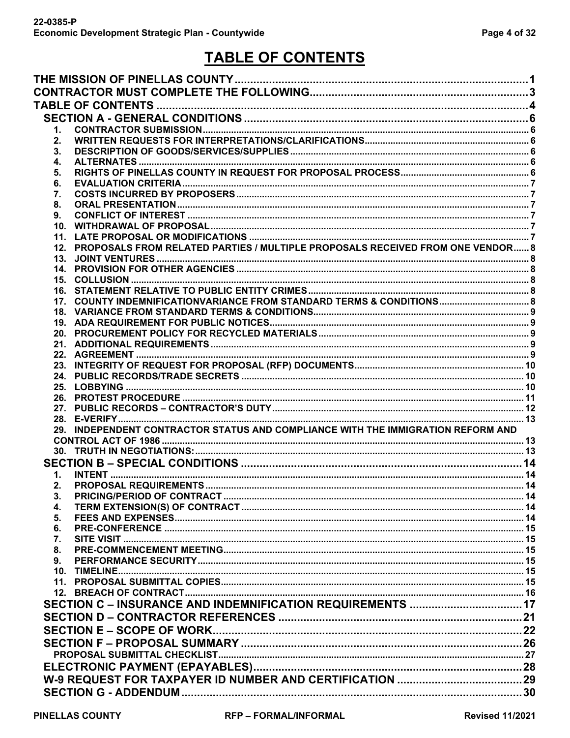## TABLE OF CONTENTS

<span id="page-3-0"></span>

| 1.              |                                                                                    |  |
|-----------------|------------------------------------------------------------------------------------|--|
| 2.              |                                                                                    |  |
| 3.              |                                                                                    |  |
| 4.              |                                                                                    |  |
| 5.              |                                                                                    |  |
| 6.              |                                                                                    |  |
| 7.              |                                                                                    |  |
| 8.              |                                                                                    |  |
| 9.              |                                                                                    |  |
| 10.<br>11.      |                                                                                    |  |
|                 | 12. PROPOSALS FROM RELATED PARTIES / MULTIPLE PROPOSALS RECEIVED FROM ONE VENDOR 8 |  |
| 13.             |                                                                                    |  |
|                 |                                                                                    |  |
|                 |                                                                                    |  |
|                 |                                                                                    |  |
|                 |                                                                                    |  |
|                 |                                                                                    |  |
|                 |                                                                                    |  |
|                 |                                                                                    |  |
|                 |                                                                                    |  |
|                 |                                                                                    |  |
|                 |                                                                                    |  |
|                 |                                                                                    |  |
| 26.             |                                                                                    |  |
|                 |                                                                                    |  |
|                 |                                                                                    |  |
|                 | 29. INDEPENDENT CONTRACTOR STATUS AND COMPLIANCE WITH THE IMMIGRATION REFORM AND   |  |
|                 |                                                                                    |  |
|                 |                                                                                    |  |
|                 |                                                                                    |  |
| 1.              |                                                                                    |  |
| 2.              |                                                                                    |  |
| 3.<br>4.        |                                                                                    |  |
| 5.              |                                                                                    |  |
| 6.              |                                                                                    |  |
| 7.              |                                                                                    |  |
| 8.              |                                                                                    |  |
| 9.              |                                                                                    |  |
| 10 <sub>1</sub> |                                                                                    |  |
| 11 <sub>1</sub> |                                                                                    |  |
|                 |                                                                                    |  |
|                 |                                                                                    |  |
|                 |                                                                                    |  |
|                 |                                                                                    |  |
|                 |                                                                                    |  |
|                 |                                                                                    |  |
|                 |                                                                                    |  |
|                 |                                                                                    |  |
|                 |                                                                                    |  |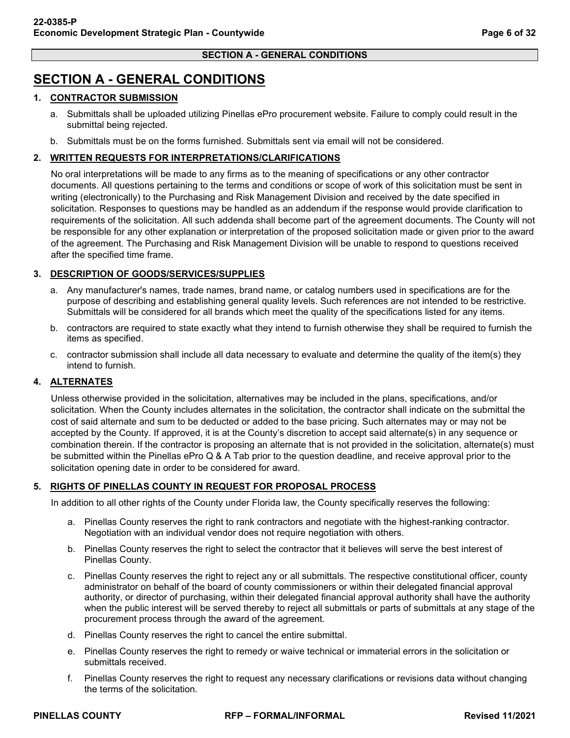## <span id="page-5-0"></span>**SECTION A - GENERAL CONDITIONS**

### <span id="page-5-1"></span>**1. CONTRACTOR SUBMISSION**

- a. Submittals shall be uploaded utilizing Pinellas ePro procurement website. Failure to comply could result in the submittal being rejected.
- b. Submittals must be on the forms furnished. Submittals sent via email will not be considered.

### <span id="page-5-2"></span>**2. WRITTEN REQUESTS FOR INTERPRETATIONS/CLARIFICATIONS**

No oral interpretations will be made to any firms as to the meaning of specifications or any other contractor documents. All questions pertaining to the terms and conditions or scope of work of this solicitation must be sent in writing (electronically) to the Purchasing and Risk Management Division and received by the date specified in solicitation. Responses to questions may be handled as an addendum if the response would provide clarification to requirements of the solicitation. All such addenda shall become part of the agreement documents. The County will not be responsible for any other explanation or interpretation of the proposed solicitation made or given prior to the award of the agreement. The Purchasing and Risk Management Division will be unable to respond to questions received after the specified time frame.

### <span id="page-5-3"></span>**3. DESCRIPTION OF GOODS/SERVICES/SUPPLIES**

- a. Any manufacturer's names, trade names, brand name, or catalog numbers used in specifications are for the purpose of describing and establishing general quality levels. Such references are not intended to be restrictive. Submittals will be considered for all brands which meet the quality of the specifications listed for any items.
- b. contractors are required to state exactly what they intend to furnish otherwise they shall be required to furnish the items as specified.
- c. contractor submission shall include all data necessary to evaluate and determine the quality of the item(s) they intend to furnish.

### <span id="page-5-4"></span>**4. ALTERNATES**

Unless otherwise provided in the solicitation, alternatives may be included in the plans, specifications, and/or solicitation. When the County includes alternates in the solicitation, the contractor shall indicate on the submittal the cost of said alternate and sum to be deducted or added to the base pricing. Such alternates may or may not be accepted by the County. If approved, it is at the County's discretion to accept said alternate(s) in any sequence or combination therein. If the contractor is proposing an alternate that is not provided in the solicitation, alternate(s) must be submitted within the Pinellas ePro Q & A Tab prior to the question deadline, and receive approval prior to the solicitation opening date in order to be considered for award.

### <span id="page-5-5"></span>**5. RIGHTS OF PINELLAS COUNTY IN REQUEST FOR PROPOSAL PROCESS**

In addition to all other rights of the County under Florida law, the County specifically reserves the following:

- a. Pinellas County reserves the right to rank contractors and negotiate with the highest-ranking contractor. Negotiation with an individual vendor does not require negotiation with others.
- b. Pinellas County reserves the right to select the contractor that it believes will serve the best interest of Pinellas County.
- c. Pinellas County reserves the right to reject any or all submittals. The respective constitutional officer, county administrator on behalf of the board of county commissioners or within their delegated financial approval authority, or director of purchasing, within their delegated financial approval authority shall have the authority when the public interest will be served thereby to reject all submittals or parts of submittals at any stage of the procurement process through the award of the agreement.
- d. Pinellas County reserves the right to cancel the entire submittal.
- e. Pinellas County reserves the right to remedy or waive technical or immaterial errors in the solicitation or submittals received.
- f. Pinellas County reserves the right to request any necessary clarifications or revisions data without changing the terms of the solicitation.

**PINELLAS COUNTY RFP – FORMAL/INFORMAL Revised 11/2021**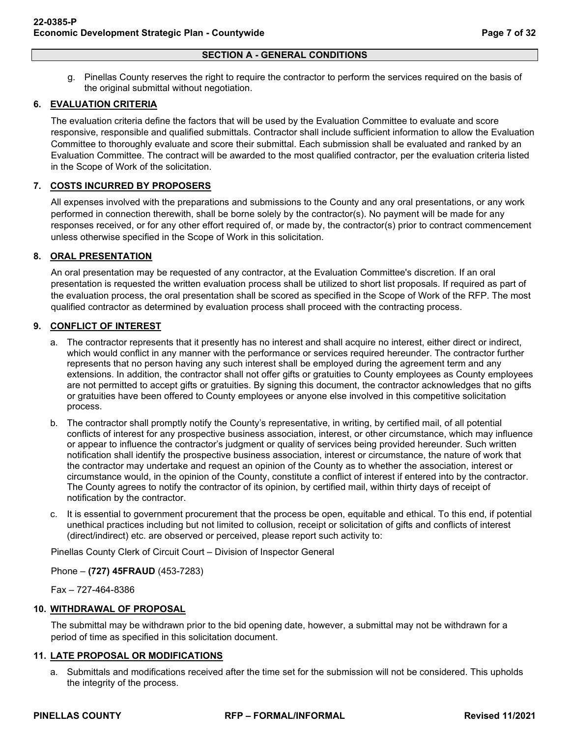g. Pinellas County reserves the right to require the contractor to perform the services required on the basis of the original submittal without negotiation.

### <span id="page-6-0"></span>**6. EVALUATION CRITERIA**

The evaluation criteria define the factors that will be used by the Evaluation Committee to evaluate and score responsive, responsible and qualified submittals. Contractor shall include sufficient information to allow the Evaluation Committee to thoroughly evaluate and score their submittal. Each submission shall be evaluated and ranked by an Evaluation Committee. The contract will be awarded to the most qualified contractor, per the evaluation criteria listed in the Scope of Work of the solicitation.

### <span id="page-6-1"></span>**7. COSTS INCURRED BY PROPOSERS**

All expenses involved with the preparations and submissions to the County and any oral presentations, or any work performed in connection therewith, shall be borne solely by the contractor(s). No payment will be made for any responses received, or for any other effort required of, or made by, the contractor(s) prior to contract commencement unless otherwise specified in the Scope of Work in this solicitation.

### <span id="page-6-2"></span>**8. ORAL PRESENTATION**

An oral presentation may be requested of any contractor, at the Evaluation Committee's discretion. If an oral presentation is requested the written evaluation process shall be utilized to short list proposals. If required as part of the evaluation process, the oral presentation shall be scored as specified in the Scope of Work of the RFP. The most qualified contractor as determined by evaluation process shall proceed with the contracting process.

### <span id="page-6-3"></span>**9. CONFLICT OF INTEREST**

- a. The contractor represents that it presently has no interest and shall acquire no interest, either direct or indirect, which would conflict in any manner with the performance or services required hereunder. The contractor further represents that no person having any such interest shall be employed during the agreement term and any extensions. In addition, the contractor shall not offer gifts or gratuities to County employees as County employees are not permitted to accept gifts or gratuities. By signing this document, the contractor acknowledges that no gifts or gratuities have been offered to County employees or anyone else involved in this competitive solicitation process.
- b. The contractor shall promptly notify the County's representative, in writing, by certified mail, of all potential conflicts of interest for any prospective business association, interest, or other circumstance, which may influence or appear to influence the contractor's judgment or quality of services being provided hereunder. Such written notification shall identify the prospective business association, interest or circumstance, the nature of work that the contractor may undertake and request an opinion of the County as to whether the association, interest or circumstance would, in the opinion of the County, constitute a conflict of interest if entered into by the contractor. The County agrees to notify the contractor of its opinion, by certified mail, within thirty days of receipt of notification by the contractor.
- c. It is essential to government procurement that the process be open, equitable and ethical. To this end, if potential unethical practices including but not limited to collusion, receipt or solicitation of gifts and conflicts of interest (direct/indirect) etc. are observed or perceived, please report such activity to:

Pinellas County Clerk of Circuit Court – Division of Inspector General

Phone – **(727) 45FRAUD** (453-7283)

Fax – 727-464-8386

### <span id="page-6-4"></span>**10. WITHDRAWAL OF PROPOSAL**

The submittal may be withdrawn prior to the bid opening date, however, a submittal may not be withdrawn for a period of time as specified in this solicitation document.

#### <span id="page-6-5"></span>**11. LATE PROPOSAL OR MODIFICATIONS**

a. Submittals and modifications received after the time set for the submission will not be considered. This upholds the integrity of the process.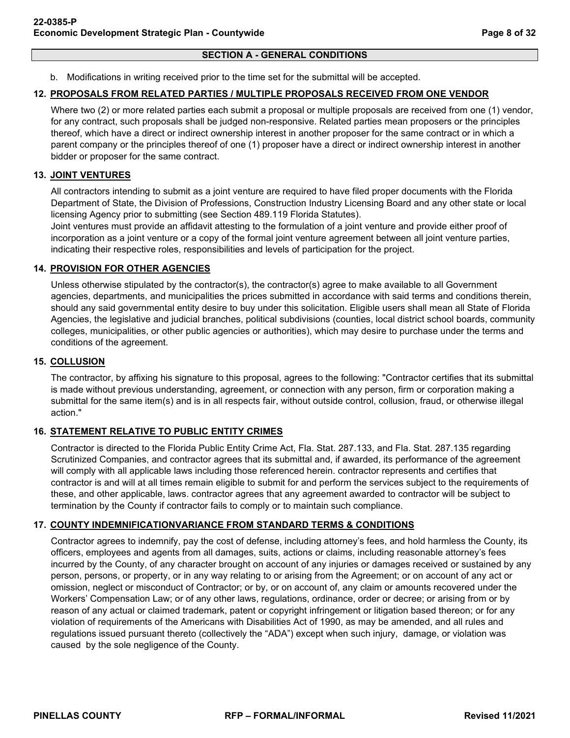### **SECTION A - GENERAL CONDITIONS**

b. Modifications in writing received prior to the time set for the submittal will be accepted.

### <span id="page-7-0"></span>**12. PROPOSALS FROM RELATED PARTIES / MULTIPLE PROPOSALS RECEIVED FROM ONE VENDOR**

Where two (2) or more related parties each submit a proposal or multiple proposals are received from one (1) vendor, for any contract, such proposals shall be judged non-responsive. Related parties mean proposers or the principles thereof, which have a direct or indirect ownership interest in another proposer for the same contract or in which a parent company or the principles thereof of one (1) proposer have a direct or indirect ownership interest in another bidder or proposer for the same contract.

### <span id="page-7-1"></span>**13. JOINT VENTURES**

All contractors intending to submit as a joint venture are required to have filed proper documents with the Florida Department of State, the Division of Professions, Construction Industry Licensing Board and any other state or local licensing Agency prior to submitting (see Section 489.119 Florida Statutes).

Joint ventures must provide an affidavit attesting to the formulation of a joint venture and provide either proof of incorporation as a joint venture or a copy of the formal joint venture agreement between all joint venture parties, indicating their respective roles, responsibilities and levels of participation for the project.

### <span id="page-7-2"></span>**14. PROVISION FOR OTHER AGENCIES**

Unless otherwise stipulated by the contractor(s), the contractor(s) agree to make available to all Government agencies, departments, and municipalities the prices submitted in accordance with said terms and conditions therein, should any said governmental entity desire to buy under this solicitation. Eligible users shall mean all State of Florida Agencies, the legislative and judicial branches, political subdivisions (counties, local district school boards, community colleges, municipalities, or other public agencies or authorities), which may desire to purchase under the terms and conditions of the agreement.

### <span id="page-7-3"></span>**15. COLLUSION**

The contractor, by affixing his signature to this proposal, agrees to the following: "Contractor certifies that its submittal is made without previous understanding, agreement, or connection with any person, firm or corporation making a submittal for the same item(s) and is in all respects fair, without outside control, collusion, fraud, or otherwise illegal action."

### <span id="page-7-4"></span>**16. STATEMENT RELATIVE TO PUBLIC ENTITY CRIMES**

Contractor is directed to the Florida Public Entity Crime Act, Fla. Stat. 287.133, and Fla. Stat. 287.135 regarding Scrutinized Companies, and contractor agrees that its submittal and, if awarded, its performance of the agreement will comply with all applicable laws including those referenced herein. contractor represents and certifies that contractor is and will at all times remain eligible to submit for and perform the services subject to the requirements of these, and other applicable, laws. contractor agrees that any agreement awarded to contractor will be subject to termination by the County if contractor fails to comply or to maintain such compliance.

### <span id="page-7-5"></span>**17. COUNTY INDEMNIFICATIONVARIANCE FROM STANDARD TERMS & CONDITIONS**

Contractor agrees to indemnify, pay the cost of defense, including attorney's fees, and hold harmless the County, its officers, employees and agents from all damages, suits, actions or claims, including reasonable attorney's fees incurred by the County, of any character brought on account of any injuries or damages received or sustained by any person, persons, or property, or in any way relating to or arising from the Agreement; or on account of any act or omission, neglect or misconduct of Contractor; or by, or on account of, any claim or amounts recovered under the Workers' Compensation Law; or of any other laws, regulations, ordinance, order or decree; or arising from or by reason of any actual or claimed trademark, patent or copyright infringement or litigation based thereon; or for any violation of requirements of the Americans with Disabilities Act of 1990, as may be amended, and all rules and regulations issued pursuant thereto (collectively the "ADA") except when such injury, damage, or violation was caused by the sole negligence of the County.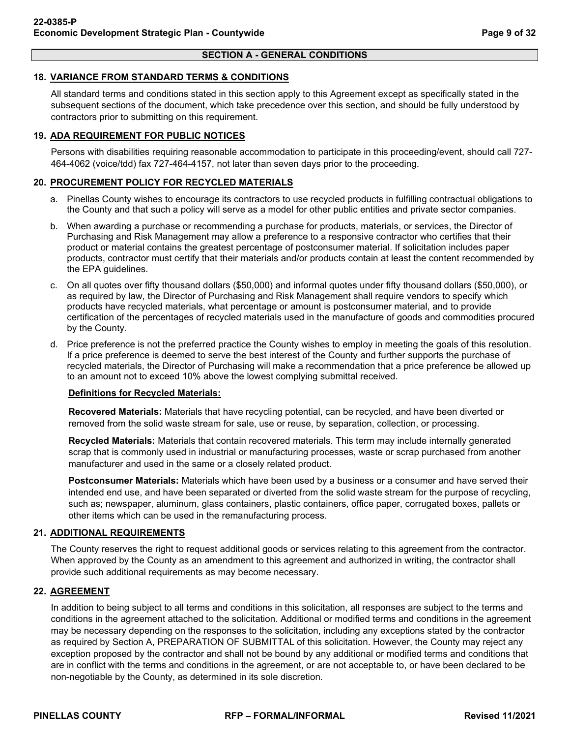#### **SECTION A - GENERAL CONDITIONS**

### <span id="page-8-0"></span>**18. VARIANCE FROM STANDARD TERMS & CONDITIONS**

All standard terms and conditions stated in this section apply to this Agreement except as specifically stated in the subsequent sections of the document, which take precedence over this section, and should be fully understood by contractors prior to submitting on this requirement.

### <span id="page-8-1"></span>**19. ADA REQUIREMENT FOR PUBLIC NOTICES**

Persons with disabilities requiring reasonable accommodation to participate in this proceeding/event, should call 727- 464-4062 (voice/tdd) fax 727-464-4157, not later than seven days prior to the proceeding.

### <span id="page-8-2"></span>**20. PROCUREMENT POLICY FOR RECYCLED MATERIALS**

- a. Pinellas County wishes to encourage its contractors to use recycled products in fulfilling contractual obligations to the County and that such a policy will serve as a model for other public entities and private sector companies.
- b. When awarding a purchase or recommending a purchase for products, materials, or services, the Director of Purchasing and Risk Management may allow a preference to a responsive contractor who certifies that their product or material contains the greatest percentage of postconsumer material. If solicitation includes paper products, contractor must certify that their materials and/or products contain at least the content recommended by the EPA guidelines.
- c. On all quotes over fifty thousand dollars (\$50,000) and informal quotes under fifty thousand dollars (\$50,000), or as required by law, the Director of Purchasing and Risk Management shall require vendors to specify which products have recycled materials, what percentage or amount is postconsumer material, and to provide certification of the percentages of recycled materials used in the manufacture of goods and commodities procured by the County.
- d. Price preference is not the preferred practice the County wishes to employ in meeting the goals of this resolution. If a price preference is deemed to serve the best interest of the County and further supports the purchase of recycled materials, the Director of Purchasing will make a recommendation that a price preference be allowed up to an amount not to exceed 10% above the lowest complying submittal received.

### **Definitions for Recycled Materials:**

**Recovered Materials:** Materials that have recycling potential, can be recycled, and have been diverted or removed from the solid waste stream for sale, use or reuse, by separation, collection, or processing.

**Recycled Materials:** Materials that contain recovered materials. This term may include internally generated scrap that is commonly used in industrial or manufacturing processes, waste or scrap purchased from another manufacturer and used in the same or a closely related product.

**Postconsumer Materials:** Materials which have been used by a business or a consumer and have served their intended end use, and have been separated or diverted from the solid waste stream for the purpose of recycling, such as; newspaper, aluminum, glass containers, plastic containers, office paper, corrugated boxes, pallets or other items which can be used in the remanufacturing process.

### <span id="page-8-3"></span>**21. ADDITIONAL REQUIREMENTS**

The County reserves the right to request additional goods or services relating to this agreement from the contractor. When approved by the County as an amendment to this agreement and authorized in writing, the contractor shall provide such additional requirements as may become necessary.

### <span id="page-8-4"></span>**22. AGREEMENT**

In addition to being subject to all terms and conditions in this solicitation, all responses are subject to the terms and conditions in the agreement attached to the solicitation. Additional or modified terms and conditions in the agreement may be necessary depending on the responses to the solicitation, including any exceptions stated by the contractor as required by Section A, PREPARATION OF SUBMITTAL of this solicitation. However, the County may reject any exception proposed by the contractor and shall not be bound by any additional or modified terms and conditions that are in conflict with the terms and conditions in the agreement, or are not acceptable to, or have been declared to be non-negotiable by the County, as determined in its sole discretion.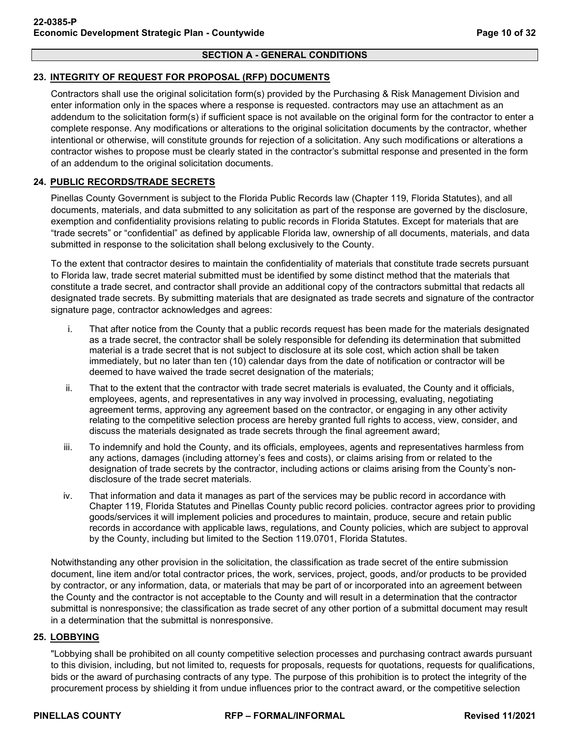### <span id="page-9-0"></span>**23. INTEGRITY OF REQUEST FOR PROPOSAL (RFP) DOCUMENTS**

Contractors shall use the original solicitation form(s) provided by the Purchasing & Risk Management Division and enter information only in the spaces where a response is requested. contractors may use an attachment as an addendum to the solicitation form(s) if sufficient space is not available on the original form for the contractor to enter a complete response. Any modifications or alterations to the original solicitation documents by the contractor, whether intentional or otherwise, will constitute grounds for rejection of a solicitation. Any such modifications or alterations a contractor wishes to propose must be clearly stated in the contractor's submittal response and presented in the form of an addendum to the original solicitation documents.

### <span id="page-9-1"></span>**24. PUBLIC RECORDS/TRADE SECRETS**

Pinellas County Government is subject to the Florida Public Records law (Chapter 119, Florida Statutes), and all documents, materials, and data submitted to any solicitation as part of the response are governed by the disclosure, exemption and confidentiality provisions relating to public records in Florida Statutes. Except for materials that are "trade secrets" or "confidential" as defined by applicable Florida law, ownership of all documents, materials, and data submitted in response to the solicitation shall belong exclusively to the County.

To the extent that contractor desires to maintain the confidentiality of materials that constitute trade secrets pursuant to Florida law, trade secret material submitted must be identified by some distinct method that the materials that constitute a trade secret, and contractor shall provide an additional copy of the contractors submittal that redacts all designated trade secrets. By submitting materials that are designated as trade secrets and signature of the contractor signature page, contractor acknowledges and agrees:

- i. That after notice from the County that a public records request has been made for the materials designated as a trade secret, the contractor shall be solely responsible for defending its determination that submitted material is a trade secret that is not subject to disclosure at its sole cost, which action shall be taken immediately, but no later than ten (10) calendar days from the date of notification or contractor will be deemed to have waived the trade secret designation of the materials;
- ii. That to the extent that the contractor with trade secret materials is evaluated, the County and it officials, employees, agents, and representatives in any way involved in processing, evaluating, negotiating agreement terms, approving any agreement based on the contractor, or engaging in any other activity relating to the competitive selection process are hereby granted full rights to access, view, consider, and discuss the materials designated as trade secrets through the final agreement award;
- iii. To indemnify and hold the County, and its officials, employees, agents and representatives harmless from any actions, damages (including attorney's fees and costs), or claims arising from or related to the designation of trade secrets by the contractor, including actions or claims arising from the County's nondisclosure of the trade secret materials.
- iv. That information and data it manages as part of the services may be public record in accordance with Chapter 119, Florida Statutes and Pinellas County public record policies. contractor agrees prior to providing goods/services it will implement policies and procedures to maintain, produce, secure and retain public records in accordance with applicable laws, regulations, and County policies, which are subject to approval by the County, including but limited to the Section 119.0701, Florida Statutes.

Notwithstanding any other provision in the solicitation, the classification as trade secret of the entire submission document, line item and/or total contractor prices, the work, services, project, goods, and/or products to be provided by contractor, or any information, data, or materials that may be part of or incorporated into an agreement between the County and the contractor is not acceptable to the County and will result in a determination that the contractor submittal is nonresponsive; the classification as trade secret of any other portion of a submittal document may result in a determination that the submittal is nonresponsive.

### <span id="page-9-2"></span>**25. LOBBYING**

"Lobbying shall be prohibited on all county competitive selection processes and purchasing contract awards pursuant to this division, including, but not limited to, requests for proposals, requests for quotations, requests for qualifications, bids or the award of purchasing contracts of any type. The purpose of this prohibition is to protect the integrity of the procurement process by shielding it from undue influences prior to the contract award, or the competitive selection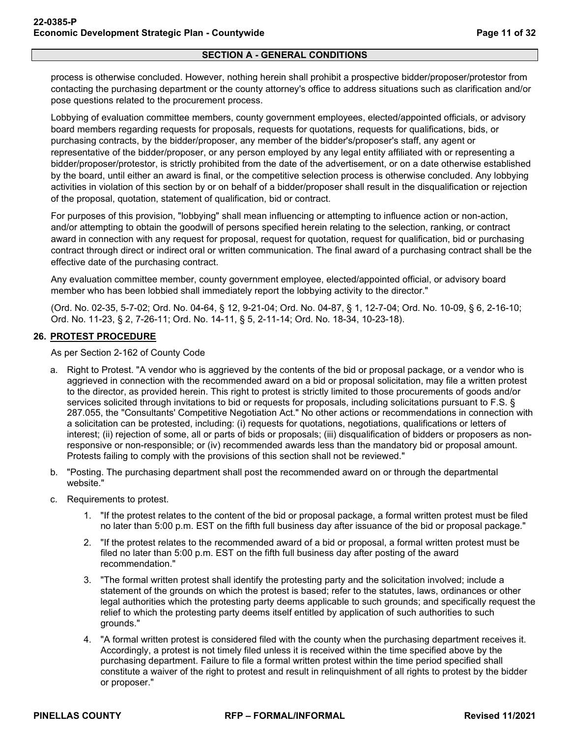### **SECTION A - GENERAL CONDITIONS**

process is otherwise concluded. However, nothing herein shall prohibit a prospective bidder/proposer/protestor from contacting the purchasing department or the county attorney's office to address situations such as clarification and/or pose questions related to the procurement process.

Lobbying of evaluation committee members, county government employees, elected/appointed officials, or advisory board members regarding requests for proposals, requests for quotations, requests for qualifications, bids, or purchasing contracts, by the bidder/proposer, any member of the bidder's/proposer's staff, any agent or representative of the bidder/proposer, or any person employed by any legal entity affiliated with or representing a bidder/proposer/protestor, is strictly prohibited from the date of the advertisement, or on a date otherwise established by the board, until either an award is final, or the competitive selection process is otherwise concluded. Any lobbying activities in violation of this section by or on behalf of a bidder/proposer shall result in the disqualification or rejection of the proposal, quotation, statement of qualification, bid or contract.

For purposes of this provision, "lobbying" shall mean influencing or attempting to influence action or non-action, and/or attempting to obtain the goodwill of persons specified herein relating to the selection, ranking, or contract award in connection with any request for proposal, request for quotation, request for qualification, bid or purchasing contract through direct or indirect oral or written communication. The final award of a purchasing contract shall be the effective date of the purchasing contract.

Any evaluation committee member, county government employee, elected/appointed official, or advisory board member who has been lobbied shall immediately report the lobbying activity to the director."

(Ord. No. 02-35, 5-7-02; Ord. No. 04-64, § 12, 9-21-04; Ord. No. 04-87, § 1, 12-7-04; Ord. No. 10-09, § 6, 2-16-10; Ord. No. 11-23, § 2, 7-26-11; Ord. No. 14-11, § 5, 2-11-14; Ord. No. 18-34, 10-23-18).

### <span id="page-10-0"></span>**26. PROTEST PROCEDURE**

As per Section 2-162 of County Code

- a. Right to Protest. "A vendor who is aggrieved by the contents of the bid or proposal package, or a vendor who is aggrieved in connection with the recommended award on a bid or proposal solicitation, may file a written protest to the director, as provided herein. This right to protest is strictly limited to those procurements of goods and/or services solicited through invitations to bid or requests for proposals, including solicitations pursuant to F.S. § 287.055, the "Consultants' Competitive Negotiation Act." No other actions or recommendations in connection with a solicitation can be protested, including: (i) requests for quotations, negotiations, qualifications or letters of interest; (ii) rejection of some, all or parts of bids or proposals; (iii) disqualification of bidders or proposers as nonresponsive or non-responsible; or (iv) recommended awards less than the mandatory bid or proposal amount. Protests failing to comply with the provisions of this section shall not be reviewed."
- b. "Posting. The purchasing department shall post the recommended award on or through the departmental website."
- c. Requirements to protest.
	- 1. "If the protest relates to the content of the bid or proposal package, a formal written protest must be filed no later than 5:00 p.m. EST on the fifth full business day after issuance of the bid or proposal package."
	- 2. "If the protest relates to the recommended award of a bid or proposal, a formal written protest must be filed no later than 5:00 p.m. EST on the fifth full business day after posting of the award recommendation."
	- 3. "The formal written protest shall identify the protesting party and the solicitation involved; include a statement of the grounds on which the protest is based; refer to the statutes, laws, ordinances or other legal authorities which the protesting party deems applicable to such grounds; and specifically request the relief to which the protesting party deems itself entitled by application of such authorities to such grounds."
	- 4. "A formal written protest is considered filed with the county when the purchasing department receives it. Accordingly, a protest is not timely filed unless it is received within the time specified above by the purchasing department. Failure to file a formal written protest within the time period specified shall constitute a waiver of the right to protest and result in relinquishment of all rights to protest by the bidder or proposer."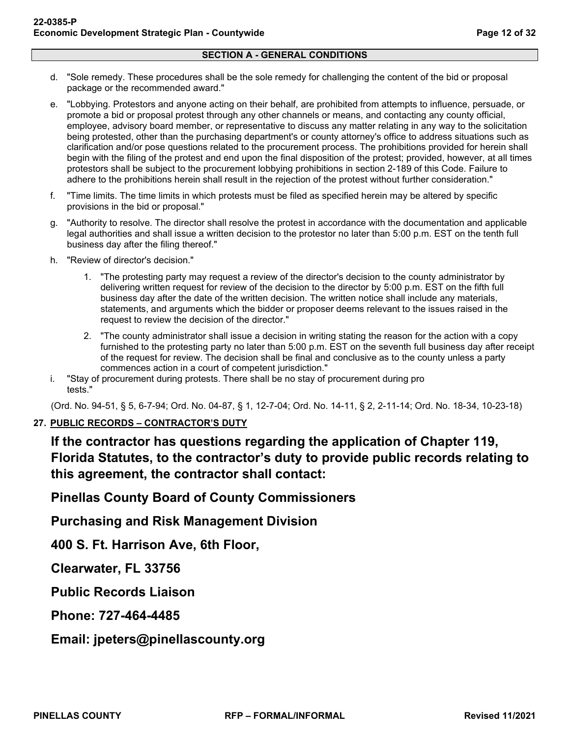- d. "Sole remedy. These procedures shall be the sole remedy for challenging the content of the bid or proposal package or the recommended award."
- e. "Lobbying. Protestors and anyone acting on their behalf, are prohibited from attempts to influence, persuade, or promote a bid or proposal protest through any other channels or means, and contacting any county official, employee, advisory board member, or representative to discuss any matter relating in any way to the solicitation being protested, other than the purchasing department's or county attorney's office to address situations such as clarification and/or pose questions related to the procurement process. The prohibitions provided for herein shall begin with the filing of the protest and end upon the final disposition of the protest; provided, however, at all times protestors shall be subject to the procurement lobbying prohibitions in section 2-189 of this Code. Failure to adhere to the prohibitions herein shall result in the rejection of the protest without further consideration."
- f. "Time limits. The time limits in which protests must be filed as specified herein may be altered by specific provisions in the bid or proposal."
- g. "Authority to resolve. The director shall resolve the protest in accordance with the documentation and applicable legal authorities and shall issue a written decision to the protestor no later than 5:00 p.m. EST on the tenth full business day after the filing thereof."
- h. "Review of director's decision."
	- 1. "The protesting party may request a review of the director's decision to the county administrator by delivering written request for review of the decision to the director by 5:00 p.m. EST on the fifth full business day after the date of the written decision. The written notice shall include any materials, statements, and arguments which the bidder or proposer deems relevant to the issues raised in the request to review the decision of the director."
	- 2. "The county administrator shall issue a decision in writing stating the reason for the action with a copy furnished to the protesting party no later than 5:00 p.m. EST on the seventh full business day after receipt of the request for review. The decision shall be final and conclusive as to the county unless a party commences action in a court of competent jurisdiction."
- i. "Stay of procurement during protests. There shall be no stay of procurement during pro tests."

(Ord. No. 94-51, § 5, 6-7-94; Ord. No. 04-87, § 1, 12-7-04; Ord. No. 14-11, § 2, 2-11-14; Ord. No. 18-34, 10-23-18)

### <span id="page-11-0"></span>**27. PUBLIC RECORDS – CONTRACTOR'S DUTY**

**If the contractor has questions regarding the application of Chapter 119, Florida Statutes, to the contractor's duty to provide public records relating to this agreement, the contractor shall contact:**

**Pinellas County Board of County Commissioners**

**Purchasing and Risk Management Division**

**400 S. Ft. Harrison Ave, 6th Floor,**

**Clearwater, FL 33756**

**Public Records Liaison**

**Phone: 727-464-4485**

**Email: jpeters@pinellascounty.org**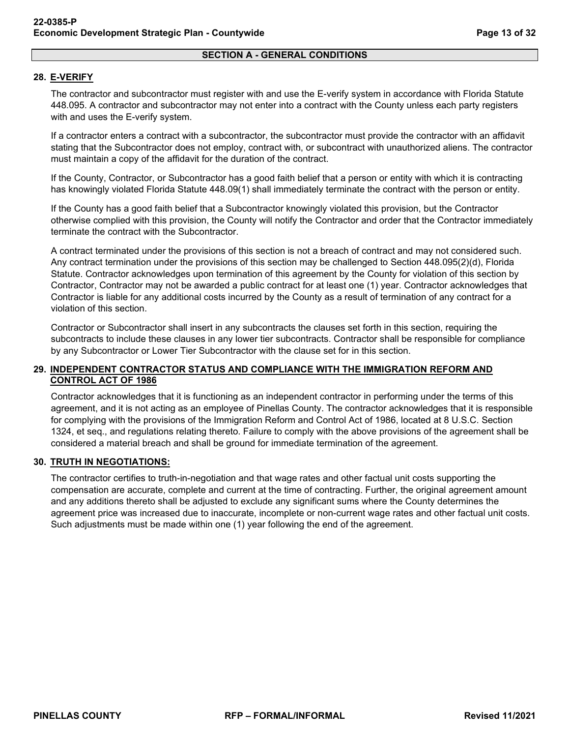### **SECTION A - GENERAL CONDITIONS**

### <span id="page-12-0"></span>**28. E-VERIFY**

The contractor and subcontractor must register with and use the E-verify system in accordance with Florida Statute 448.095. A contractor and subcontractor may not enter into a contract with the County unless each party registers with and uses the E-verify system.

If a contractor enters a contract with a subcontractor, the subcontractor must provide the contractor with an affidavit stating that the Subcontractor does not employ, contract with, or subcontract with unauthorized aliens. The contractor must maintain a copy of the affidavit for the duration of the contract.

If the County, Contractor, or Subcontractor has a good faith belief that a person or entity with which it is contracting has knowingly violated Florida Statute 448.09(1) shall immediately terminate the contract with the person or entity.

If the County has a good faith belief that a Subcontractor knowingly violated this provision, but the Contractor otherwise complied with this provision, the County will notify the Contractor and order that the Contractor immediately terminate the contract with the Subcontractor.

A contract terminated under the provisions of this section is not a breach of contract and may not considered such. Any contract termination under the provisions of this section may be challenged to Section 448.095(2)(d), Florida Statute. Contractor acknowledges upon termination of this agreement by the County for violation of this section by Contractor, Contractor may not be awarded a public contract for at least one (1) year. Contractor acknowledges that Contractor is liable for any additional costs incurred by the County as a result of termination of any contract for a violation of this section.

Contractor or Subcontractor shall insert in any subcontracts the clauses set forth in this section, requiring the subcontracts to include these clauses in any lower tier subcontracts. Contractor shall be responsible for compliance by any Subcontractor or Lower Tier Subcontractor with the clause set for in this section.

### <span id="page-12-1"></span>**29. INDEPENDENT CONTRACTOR STATUS AND COMPLIANCE WITH THE IMMIGRATION REFORM AND CONTROL ACT OF 1986**

Contractor acknowledges that it is functioning as an independent contractor in performing under the terms of this agreement, and it is not acting as an employee of Pinellas County. The contractor acknowledges that it is responsible for complying with the provisions of the Immigration Reform and Control Act of 1986, located at 8 U.S.C. Section 1324, et seq., and regulations relating thereto. Failure to comply with the above provisions of the agreement shall be considered a material breach and shall be ground for immediate termination of the agreement.

### <span id="page-12-2"></span>**30. TRUTH IN NEGOTIATIONS:**

The contractor certifies to truth-in-negotiation and that wage rates and other factual unit costs supporting the compensation are accurate, complete and current at the time of contracting. Further, the original agreement amount and any additions thereto shall be adjusted to exclude any significant sums where the County determines the agreement price was increased due to inaccurate, incomplete or non-current wage rates and other factual unit costs. Such adjustments must be made within one (1) year following the end of the agreement.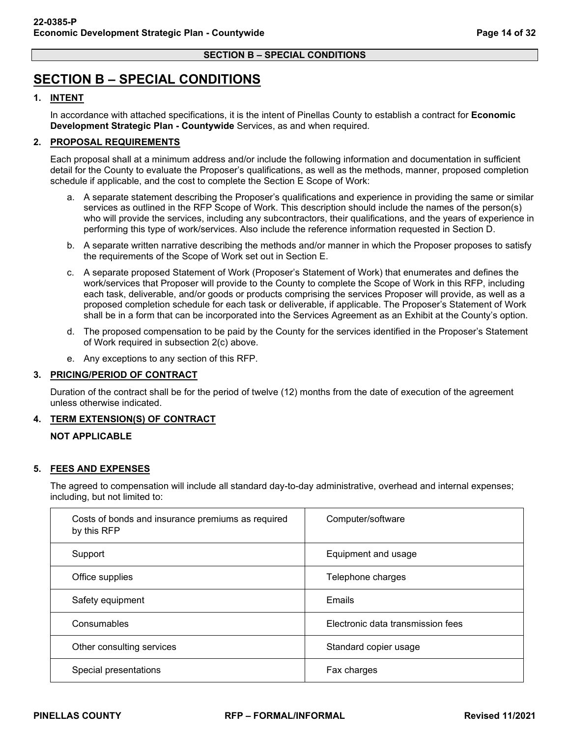## <span id="page-13-0"></span>**SECTION B – SPECIAL CONDITIONS**

### <span id="page-13-1"></span>**1. INTENT**

In accordance with attached specifications, it is the intent of Pinellas County to establish a contract for **Economic Development Strategic Plan - Countywide** Services, as and when required.

### <span id="page-13-2"></span>**2. PROPOSAL REQUIREMENTS**

Each proposal shall at a minimum address and/or include the following information and documentation in sufficient detail for the County to evaluate the Proposer's qualifications, as well as the methods, manner, proposed completion schedule if applicable, and the cost to complete the Section E Scope of Work:

- a. A separate statement describing the Proposer's qualifications and experience in providing the same or similar services as outlined in the RFP Scope of Work. This description should include the names of the person(s) who will provide the services, including any subcontractors, their qualifications, and the years of experience in performing this type of work/services. Also include the reference information requested in Section D.
- b. A separate written narrative describing the methods and/or manner in which the Proposer proposes to satisfy the requirements of the Scope of Work set out in Section E.
- c. A separate proposed Statement of Work (Proposer's Statement of Work) that enumerates and defines the work/services that Proposer will provide to the County to complete the Scope of Work in this RFP, including each task, deliverable, and/or goods or products comprising the services Proposer will provide, as well as a proposed completion schedule for each task or deliverable, if applicable. The Proposer's Statement of Work shall be in a form that can be incorporated into the Services Agreement as an Exhibit at the County's option.
- d. The proposed compensation to be paid by the County for the services identified in the Proposer's Statement of Work required in subsection 2(c) above.
- e. Any exceptions to any section of this RFP.

### <span id="page-13-3"></span>**3. PRICING/PERIOD OF CONTRACT**

Duration of the contract shall be for the period of twelve (12) months from the date of execution of the agreement unless otherwise indicated.

### <span id="page-13-4"></span>**4. TERM EXTENSION(S) OF CONTRACT**

### **NOT APPLICABLE**

### <span id="page-13-5"></span>**5. FEES AND EXPENSES**

The agreed to compensation will include all standard day-to-day administrative, overhead and internal expenses; including, but not limited to:

| Costs of bonds and insurance premiums as required<br>by this RFP | Computer/software                 |  |
|------------------------------------------------------------------|-----------------------------------|--|
| Support                                                          | Equipment and usage               |  |
| Office supplies                                                  | Telephone charges                 |  |
| Safety equipment                                                 | Emails                            |  |
| Consumables                                                      | Electronic data transmission fees |  |
| Other consulting services                                        | Standard copier usage             |  |
| Special presentations                                            | Fax charges                       |  |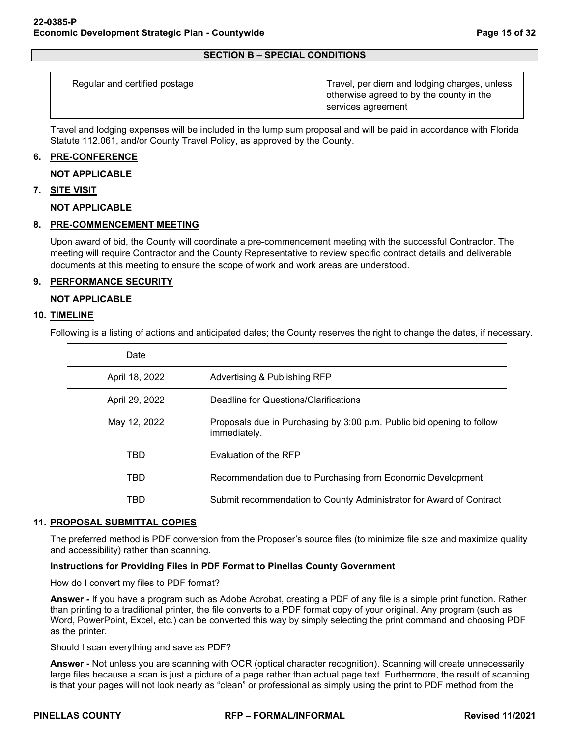| Regular and certified postage | Travel, per diem and lodging charges, unless<br>otherwise agreed to by the county in the<br>services agreement |
|-------------------------------|----------------------------------------------------------------------------------------------------------------|
|                               |                                                                                                                |

Travel and lodging expenses will be included in the lump sum proposal and will be paid in accordance with Florida Statute 112.061, and/or County Travel Policy, as approved by the County.

### <span id="page-14-0"></span>**6. PRE-CONFERENCE**

### **NOT APPLICABLE**

### <span id="page-14-1"></span>**7. SITE VISIT**

**NOT APPLICABLE**

### <span id="page-14-2"></span>**8. PRE-COMMENCEMENT MEETING**

Upon award of bid, the County will coordinate a pre-commencement meeting with the successful Contractor. The meeting will require Contractor and the County Representative to review specific contract details and deliverable documents at this meeting to ensure the scope of work and work areas are understood.

### <span id="page-14-3"></span>**9. PERFORMANCE SECURITY**

### **NOT APPLICABLE**

### <span id="page-14-4"></span>**10. TIMELINE**

Following is a listing of actions and anticipated dates; the County reserves the right to change the dates, if necessary.

| Date           |                                                                                       |
|----------------|---------------------------------------------------------------------------------------|
| April 18, 2022 | Advertising & Publishing RFP                                                          |
| April 29, 2022 | Deadline for Questions/Clarifications                                                 |
| May 12, 2022   | Proposals due in Purchasing by 3:00 p.m. Public bid opening to follow<br>immediately. |
| TBD            | Evaluation of the RFP                                                                 |
| TBD            | Recommendation due to Purchasing from Economic Development                            |
| TBD            | Submit recommendation to County Administrator for Award of Contract                   |

### <span id="page-14-5"></span>**11. PROPOSAL SUBMITTAL COPIES**

The preferred method is PDF conversion from the Proposer's source files (to minimize file size and maximize quality and accessibility) rather than scanning.

### **Instructions for Providing Files in PDF Format to Pinellas County Government**

How do I convert my files to PDF format?

**Answer -** If you have a program such as Adobe Acrobat, creating a PDF of any file is a simple print function. Rather than printing to a traditional printer, the file converts to a PDF format copy of your original. Any program (such as Word, PowerPoint, Excel, etc.) can be converted this way by simply selecting the print command and choosing PDF as the printer.

Should I scan everything and save as PDF?

**Answer -** Not unless you are scanning with OCR (optical character recognition). Scanning will create unnecessarily large files because a scan is just a picture of a page rather than actual page text. Furthermore, the result of scanning is that your pages will not look nearly as "clean" or professional as simply using the print to PDF method from the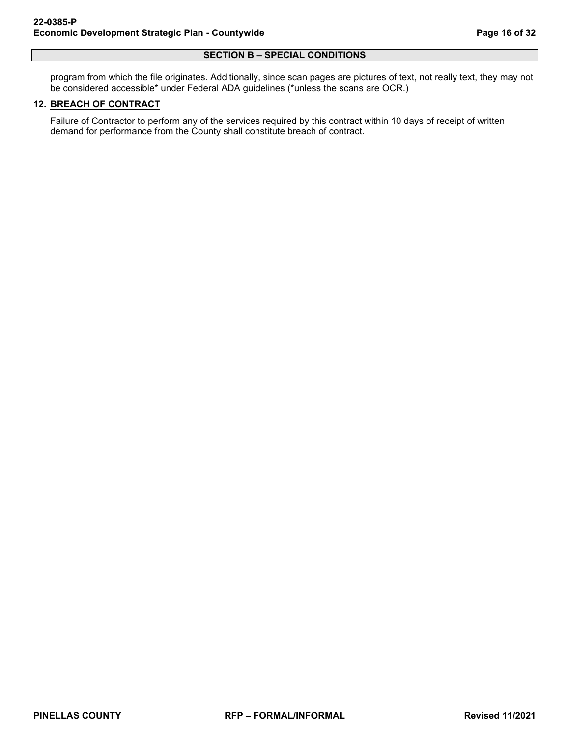#### **SECTION B – SPECIAL CONDITIONS**

program from which the file originates. Additionally, since scan pages are pictures of text, not really text, they may not be considered accessible\* under Federal ADA guidelines (\*unless the scans are OCR.)

### <span id="page-15-0"></span>**12. BREACH OF CONTRACT**

Failure of Contractor to perform any of the services required by this contract within 10 days of receipt of written demand for performance from the County shall constitute breach of contract.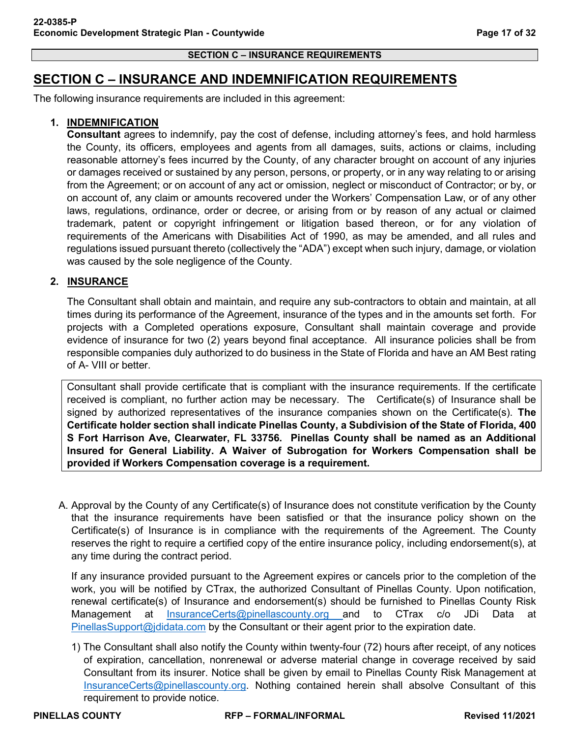### <span id="page-16-0"></span>**SECTION C – INSURANCE AND INDEMNIFICATION REQUIREMENTS**

The following insurance requirements are included in this agreement:

### **1. INDEMNIFICATION**

**Consultant** agrees to indemnify, pay the cost of defense, including attorney's fees, and hold harmless the County, its officers, employees and agents from all damages, suits, actions or claims, including reasonable attorney's fees incurred by the County, of any character brought on account of any injuries or damages received or sustained by any person, persons, or property, or in any way relating to or arising from the Agreement; or on account of any act or omission, neglect or misconduct of Contractor; or by, or on account of, any claim or amounts recovered under the Workers' Compensation Law, or of any other laws, regulations, ordinance, order or decree, or arising from or by reason of any actual or claimed trademark, patent or copyright infringement or litigation based thereon, or for any violation of requirements of the Americans with Disabilities Act of 1990, as may be amended, and all rules and regulations issued pursuant thereto (collectively the "ADA") except when such injury, damage, or violation was caused by the sole negligence of the County.

### **2. INSURANCE**

The Consultant shall obtain and maintain, and require any sub-contractors to obtain and maintain, at all times during its performance of the Agreement, insurance of the types and in the amounts set forth. For projects with a Completed operations exposure, Consultant shall maintain coverage and provide evidence of insurance for two (2) years beyond final acceptance. All insurance policies shall be from responsible companies duly authorized to do business in the State of Florida and have an AM Best rating of A- VIII or better.

Consultant shall provide certificate that is compliant with the insurance requirements. If the certificate received is compliant, no further action may be necessary. The Certificate(s) of Insurance shall be signed by authorized representatives of the insurance companies shown on the Certificate(s). **The Certificate holder section shall indicate Pinellas County, a Subdivision of the State of Florida, 400 S Fort Harrison Ave, Clearwater, FL 33756. Pinellas County shall be named as an Additional Insured for General Liability. A Waiver of Subrogation for Workers Compensation shall be provided if Workers Compensation coverage is a requirement.**

A. Approval by the County of any Certificate(s) of Insurance does not constitute verification by the County that the insurance requirements have been satisfied or that the insurance policy shown on the Certificate(s) of Insurance is in compliance with the requirements of the Agreement. The County reserves the right to require a certified copy of the entire insurance policy, including endorsement(s), at any time during the contract period.

If any insurance provided pursuant to the Agreement expires or cancels prior to the completion of the work, you will be notified by CTrax, the authorized Consultant of Pinellas County. Upon notification, renewal certificate(s) of Insurance and endorsement(s) should be furnished to Pinellas County Risk Management at [InsuranceCerts@pinellascounty.org](mailto:InsuranceCerts@pinellascounty.org) and to CTrax c/o JDi Data at [PinellasSupport@jdidata.com](mailto:PinellasSupport@jdidata.com) by the Consultant or their agent prior to the expiration date.

1) The Consultant shall also notify the County within twenty-four (72) hours after receipt, of any notices of expiration, cancellation, nonrenewal or adverse material change in coverage received by said Consultant from its insurer. Notice shall be given by email to Pinellas County Risk Management at [InsuranceCerts@pinellascounty.org.](mailto:InsuranceCerts@pinellascounty.org) Nothing contained herein shall absolve Consultant of this requirement to provide notice.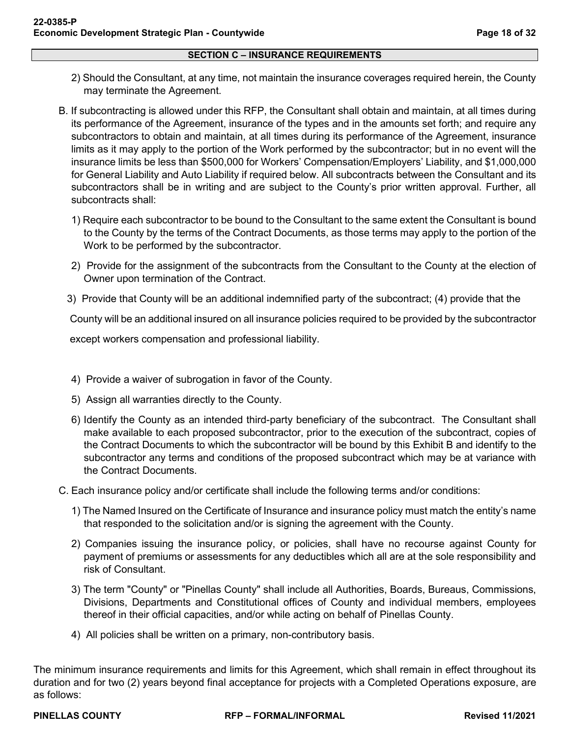- 2) Should the Consultant, at any time, not maintain the insurance coverages required herein, the County may terminate the Agreement.
- B. If subcontracting is allowed under this RFP, the Consultant shall obtain and maintain, at all times during its performance of the Agreement, insurance of the types and in the amounts set forth; and require any subcontractors to obtain and maintain, at all times during its performance of the Agreement, insurance limits as it may apply to the portion of the Work performed by the subcontractor; but in no event will the insurance limits be less than \$500,000 for Workers' Compensation/Employers' Liability, and \$1,000,000 for General Liability and Auto Liability if required below. All subcontracts between the Consultant and its subcontractors shall be in writing and are subject to the County's prior written approval. Further, all subcontracts shall:
	- 1) Require each subcontractor to be bound to the Consultant to the same extent the Consultant is bound to the County by the terms of the Contract Documents, as those terms may apply to the portion of the Work to be performed by the subcontractor.
	- 2) Provide for the assignment of the subcontracts from the Consultant to the County at the election of Owner upon termination of the Contract.
	- 3) Provide that County will be an additional indemnified party of the subcontract; (4) provide that the

County will be an additional insured on all insurance policies required to be provided by the subcontractor

except workers compensation and professional liability.

- 4) Provide a waiver of subrogation in favor of the County.
- 5) Assign all warranties directly to the County.
- 6) Identify the County as an intended third-party beneficiary of the subcontract. The Consultant shall make available to each proposed subcontractor, prior to the execution of the subcontract, copies of the Contract Documents to which the subcontractor will be bound by this Exhibit B and identify to the subcontractor any terms and conditions of the proposed subcontract which may be at variance with the Contract Documents.
- C. Each insurance policy and/or certificate shall include the following terms and/or conditions:
	- 1) The Named Insured on the Certificate of Insurance and insurance policy must match the entity's name that responded to the solicitation and/or is signing the agreement with the County.
	- 2) Companies issuing the insurance policy, or policies, shall have no recourse against County for payment of premiums or assessments for any deductibles which all are at the sole responsibility and risk of Consultant.
	- 3) The term "County" or "Pinellas County" shall include all Authorities, Boards, Bureaus, Commissions, Divisions, Departments and Constitutional offices of County and individual members, employees thereof in their official capacities, and/or while acting on behalf of Pinellas County.
	- 4) All policies shall be written on a primary, non-contributory basis.

The minimum insurance requirements and limits for this Agreement, which shall remain in effect throughout its duration and for two (2) years beyond final acceptance for projects with a Completed Operations exposure, are as follows: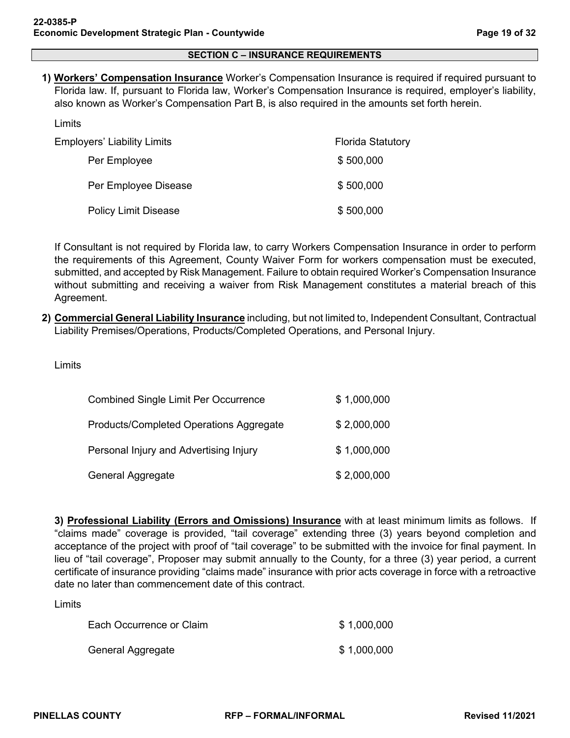**1) Workers' Compensation Insurance** Worker's Compensation Insurance is required if required pursuant to Florida law. If, pursuant to Florida law, Worker's Compensation Insurance is required, employer's liability, also known as Worker's Compensation Part B, is also required in the amounts set forth herein.

| Employers' Liability Limits | <b>Florida Statutory</b> |
|-----------------------------|--------------------------|
| Per Employee                | \$500,000                |
| Per Employee Disease        | \$500,000                |
| <b>Policy Limit Disease</b> | \$500,000                |

If Consultant is not required by Florida law, to carry Workers Compensation Insurance in order to perform the requirements of this Agreement, County Waiver Form for workers compensation must be executed, submitted, and accepted by Risk Management. Failure to obtain required Worker's Compensation Insurance without submitting and receiving a waiver from Risk Management constitutes a material breach of this Agreement.

**2) Commercial General Liability Insurance** including, but not limited to, Independent Consultant, Contractual Liability Premises/Operations, Products/Completed Operations, and Personal Injury.

Limits

Limits

| <b>Combined Single Limit Per Occurrence</b> | \$1,000,000 |
|---------------------------------------------|-------------|
| Products/Completed Operations Aggregate     | \$2,000,000 |
| Personal Injury and Advertising Injury      | \$1,000,000 |
| General Aggregate                           | \$2,000,000 |

**3) Professional Liability (Errors and Omissions) Insurance** with at least minimum limits as follows. If "claims made" coverage is provided, "tail coverage" extending three (3) years beyond completion and acceptance of the project with proof of "tail coverage" to be submitted with the invoice for final payment. In lieu of "tail coverage", Proposer may submit annually to the County, for a three (3) year period, a current certificate of insurance providing "claims made" insurance with prior acts coverage in force with a retroactive date no later than commencement date of this contract.

Limits

| Each Occurrence or Claim | \$1,000,000 |
|--------------------------|-------------|
| General Aggregate        | \$1,000,000 |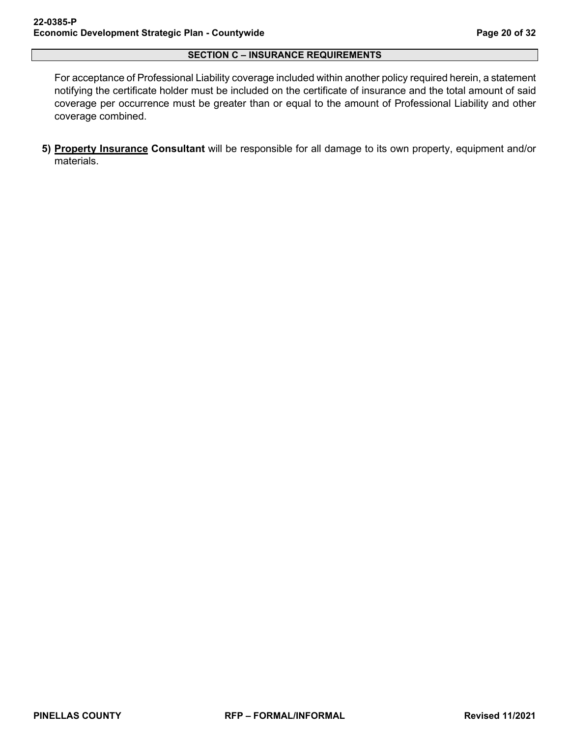For acceptance of Professional Liability coverage included within another policy required herein, a statement notifying the certificate holder must be included on the certificate of insurance and the total amount of said coverage per occurrence must be greater than or equal to the amount of Professional Liability and other coverage combined.

**5) Property Insurance Consultant** will be responsible for all damage to its own property, equipment and/or materials.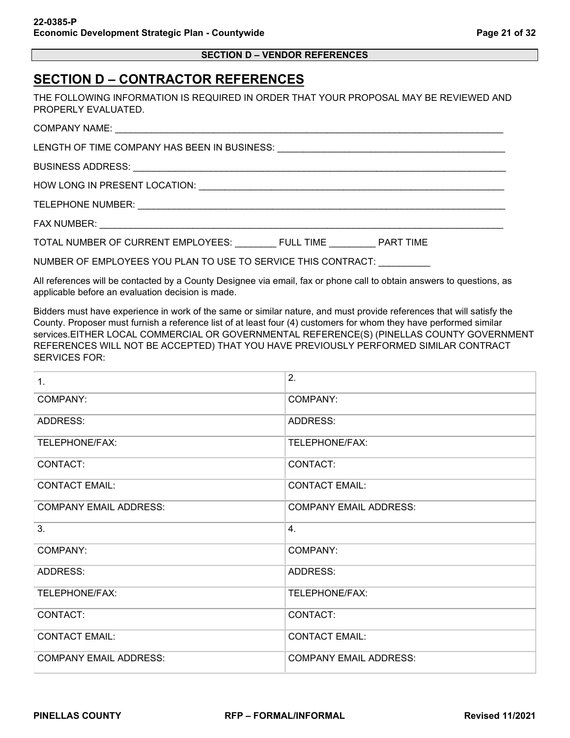| <b>SECTION D – VENDOR REFERENCES</b> |  |
|--------------------------------------|--|
|--------------------------------------|--|

## <span id="page-20-0"></span>**SECTION D – CONTRACTOR REFERENCES**

THE FOLLOWING INFORMATION IS REQUIRED IN ORDER THAT YOUR PROPOSAL MAY BE REVIEWED AND PROPERLY EVALUATED.

COMPANY NAME:

LENGTH OF TIME COMPANY HAS BEEN IN BUSINESS: \_\_\_\_\_\_\_\_\_\_\_\_\_\_\_\_\_\_\_\_\_\_\_\_\_\_\_\_\_\_\_\_\_\_\_\_\_\_\_\_\_\_\_\_

BUSINESS ADDRESS:

HOW LONG IN PRESENT LOCATION:  $\blacksquare$ 

TELEPHONE NUMBER:  $\blacksquare$ 

FAX NUMBER:

TOTAL NUMBER OF CURRENT EMPLOYEES: FULL TIME PART TIME

NUMBER OF EMPLOYEES YOU PLAN TO USE TO SERVICE THIS CONTRACT: \_\_\_\_\_\_\_\_\_\_

All references will be contacted by a County Designee via email, fax or phone call to obtain answers to questions, as applicable before an evaluation decision is made.

Bidders must have experience in work of the same or similar nature, and must provide references that will satisfy the County. Proposer must furnish a reference list of at least four (4) customers for whom they have performed similar services.EITHER LOCAL COMMERCIAL OR GOVERNMENTAL REFERENCE(S) (PINELLAS COUNTY GOVERNMENT REFERENCES WILL NOT BE ACCEPTED) THAT YOU HAVE PREVIOUSLY PERFORMED SIMILAR CONTRACT SERVICES FOR:

| 1.                            | 2.                            |
|-------------------------------|-------------------------------|
| COMPANY:                      | <b>COMPANY:</b>               |
| ADDRESS:                      | ADDRESS:                      |
| TELEPHONE/FAX:                | TELEPHONE/FAX:                |
| CONTACT:                      | CONTACT:                      |
| <b>CONTACT EMAIL:</b>         | <b>CONTACT EMAIL:</b>         |
| <b>COMPANY EMAIL ADDRESS:</b> | <b>COMPANY EMAIL ADDRESS:</b> |
| 3.                            | 4.                            |
| COMPANY:                      | <b>COMPANY:</b>               |
| <b>ADDRESS:</b>               | ADDRESS:                      |
| TELEPHONE/FAX:                | TELEPHONE/FAX:                |
| CONTACT:                      | CONTACT:                      |
| <b>CONTACT EMAIL:</b>         | <b>CONTACT EMAIL:</b>         |
| <b>COMPANY EMAIL ADDRESS:</b> | <b>COMPANY EMAIL ADDRESS:</b> |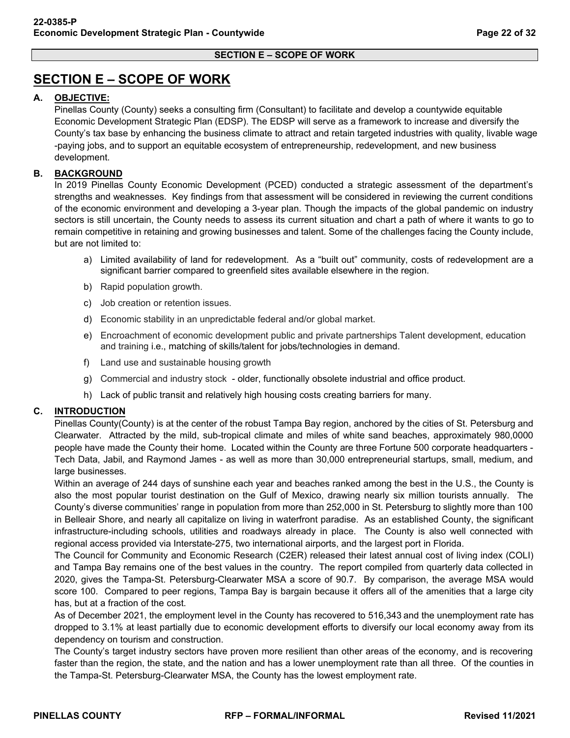## <span id="page-21-0"></span>**SECTION E – SCOPE OF WORK**

### **A. OBJECTIVE:**

Pinellas County (County) seeks a consulting firm (Consultant) to facilitate and develop a countywide equitable Economic Development Strategic Plan (EDSP). The EDSP will serve as a framework to increase and diversify the County's tax base by enhancing the business climate to attract and retain targeted industries with quality, livable wage -paying jobs, and to support an equitable ecosystem of entrepreneurship, redevelopment, and new business development.

### **B. BACKGROUND**

In 2019 Pinellas County Economic Development (PCED) conducted a strategic assessment of the department's strengths and weaknesses. Key findings from that assessment will be considered in reviewing the current conditions of the economic environment and developing a 3-year plan. Though the impacts of the global pandemic on industry sectors is still uncertain, the County needs to assess its current situation and chart a path of where it wants to go to remain competitive in retaining and growing businesses and talent. Some of the challenges facing the County include, but are not limited to:

- a) Limited availability of land for redevelopment. As a "built out" community, costs of redevelopment are a significant barrier compared to greenfield sites available elsewhere in the region.
- b) Rapid population growth.
- c) Job creation or retention issues.
- d) Economic stability in an unpredictable federal and/or global market.
- e) Encroachment of economic development public and private partnerships Talent development, education and training i.e., matching of skills/talent for jobs/technologies in demand.
- f) Land use and sustainable housing growth
- g) Commercial and industry stock older, functionally obsolete industrial and office product.
- h) Lack of public transit and relatively high housing costs creating barriers for many.

### **C. INTRODUCTION**

Pinellas County(County) is at the center of the robust Tampa Bay region, anchored by the cities of St. Petersburg and Clearwater. Attracted by the mild, sub-tropical climate and miles of white sand beaches, approximately 980,0000 people have made the County their home. Located within the County are three Fortune 500 corporate headquarters - Tech Data, Jabil, and Raymond James - as well as more than 30,000 entrepreneurial startups, small, medium, and large businesses.

Within an average of 244 days of sunshine each year and beaches ranked among the best in the U.S., the County is also the most popular tourist destination on the Gulf of Mexico, drawing nearly six million tourists annually. The County's diverse communities' range in population from more than 252,000 in St. Petersburg to slightly more than 100 in Belleair Shore, and nearly all capitalize on living in waterfront paradise. As an established County, the significant infrastructure-including schools, utilities and roadways already in place. The County is also well connected with regional access provided via Interstate-275, two international airports, and the largest port in Florida.

The Council for Community and Economic Research (C2ER) released their latest annual cost of living index (COLI) and Tampa Bay remains one of the best values in the country. The report compiled from quarterly data collected in 2020, gives the Tampa-St. Petersburg-Clearwater MSA a score of 90.7. By comparison, the average MSA would score 100. Compared to peer regions, Tampa Bay is bargain because it offers all of the amenities that a large city has, but at a fraction of the cost.

As of December 2021, the employment level in the County has recovered to 516,343 and the unemployment rate has dropped to 3.1% at least partially due to economic development efforts to diversify our local economy away from its dependency on tourism and construction.

The County's target industry sectors have proven more resilient than other areas of the economy, and is recovering faster than the region, the state, and the nation and has a lower unemployment rate than all three. Of the counties in the Tampa-St. Petersburg-Clearwater MSA, the County has the lowest employment rate.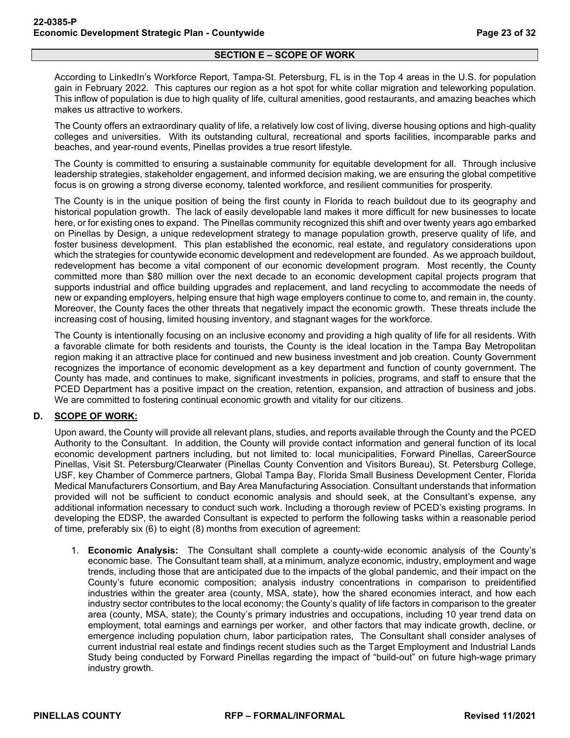### **SECTION E – SCOPE OF WORK**

According to LinkedIn's Workforce Report, Tampa-St. Petersburg, FL is in the Top 4 areas in the U.S. for population gain in February 2022. This captures our region as a hot spot for white collar migration and teleworking population. This inflow of population is due to high quality of life, cultural amenities, good restaurants, and amazing beaches which makes us attractive to workers.

The County offers an extraordinary quality of life, a relatively low cost of living, diverse housing options and high-quality colleges and universities. With its outstanding cultural, recreational and sports facilities, incomparable parks and beaches, and year-round events, Pinellas provides a true resort lifestyle.

The County is committed to ensuring a sustainable community for equitable development for all. Through inclusive leadership strategies, stakeholder engagement, and informed decision making, we are ensuring the global competitive focus is on growing a strong diverse economy, talented workforce, and resilient communities for prosperity.

The County is in the unique position of being the first county in Florida to reach buildout due to its geography and historical population growth. The lack of easily developable land makes it more difficult for new businesses to locate here, or for existing ones to expand. The Pinellas community recognized this shift and over twenty years ago embarked on Pinellas by Design, a unique redevelopment strategy to manage population growth, preserve quality of life, and foster business development. This plan established the economic, real estate, and regulatory considerations upon which the strategies for countywide economic development and redevelopment are founded. As we approach buildout, redevelopment has become a vital component of our economic development program. Most recently, the County committed more than \$80 million over the next decade to an economic development capital projects program that supports industrial and office building upgrades and replacement, and land recycling to accommodate the needs of new or expanding employers, helping ensure that high wage employers continue to come to, and remain in, the county. Moreover, the County faces the other threats that negatively impact the economic growth. These threats include the increasing cost of housing, limited housing inventory, and stagnant wages for the workforce.

The County is intentionally focusing on an inclusive economy and providing a high quality of life for all residents. With a favorable climate for both residents and tourists, the County is the ideal location in the Tampa Bay Metropolitan region making it an attractive place for continued and new business investment and job creation. County Government recognizes the importance of economic development as a key department and function of county government. The County has made, and continues to make, significant investments in policies, programs, and staff to ensure that the PCED Department has a positive impact on the creation, retention, expansion, and attraction of business and jobs. We are committed to fostering continual economic growth and vitality for our citizens.

### **D. SCOPE OF WORK:**

Upon award, the County will provide all relevant plans, studies, and reports available through the County and the PCED Authority to the Consultant. In addition, the County will provide contact information and general function of its local economic development partners including, but not limited to: local municipalities, Forward Pinellas, CareerSource Pinellas, Visit St. Petersburg/Clearwater (Pinellas County Convention and Visitors Bureau), St. Petersburg College, USF, key Chamber of Commerce partners, Global Tampa Bay, Florida Small Business Development Center, Florida Medical Manufacturers Consortium, and Bay Area Manufacturing Association. Consultant understands that information provided will not be sufficient to conduct economic analysis and should seek, at the Consultant's expense, any additional information necessary to conduct such work. Including a thorough review of PCED's existing programs. In developing the EDSP, the awarded Consultant is expected to perform the following tasks within a reasonable period of time, preferably six (6) to eight (8) months from execution of agreement:

1. **Economic Analysis:** The Consultant shall complete a county-wide economic analysis of the County's economic base. The Consultant team shall, at a minimum, analyze economic, industry, employment and wage trends, including those that are anticipated due to the impacts of the global pandemic, and their impact on the County's future economic composition; analysis industry concentrations in comparison to preidentified industries within the greater area (county, MSA, state), how the shared economies interact, and how each industry sector contributes to the local economy; the County's quality of life factors in comparison to the greater area (county, MSA, state); the County's primary industries and occupations, including 10 year trend data on employment, total earnings and earnings per worker, and other factors that may indicate growth, decline, or emergence including population churn, labor participation rates, The Consultant shall consider analyses of current industrial real estate and findings recent studies such as the Target Employment and Industrial Lands Study being conducted by Forward Pinellas regarding the impact of "build-out" on future high-wage primary industry growth.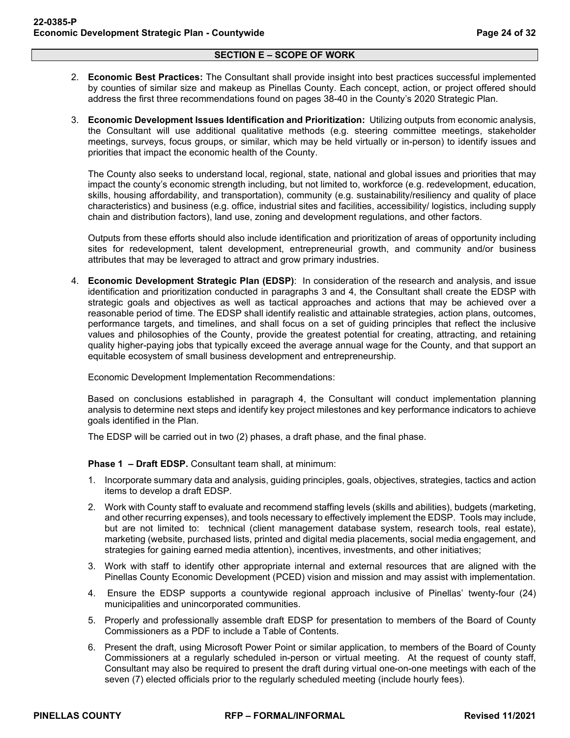- 2. **Economic Best Practices:** The Consultant shall provide insight into best practices successful implemented by counties of similar size and makeup as Pinellas County. Each concept, action, or project offered should address the first three recommendations found on pages 38-40 in the County's 2020 Strategic Plan.
- 3. **Economic Development Issues Identification and Prioritization:** Utilizing outputs from economic analysis, the Consultant will use additional qualitative methods (e.g. steering committee meetings, stakeholder meetings, surveys, focus groups, or similar, which may be held virtually or in-person) to identify issues and priorities that impact the economic health of the County.

The County also seeks to understand local, regional, state, national and global issues and priorities that may impact the county's economic strength including, but not limited to, workforce (e.g. redevelopment, education, skills, housing affordability, and transportation), community (e.g. sustainability/resiliency and quality of place characteristics) and business (e.g. office, industrial sites and facilities, accessibility/ logistics, including supply chain and distribution factors), land use, zoning and development regulations, and other factors.

Outputs from these efforts should also include identification and prioritization of areas of opportunity including sites for redevelopment, talent development, entrepreneurial growth, and community and/or business attributes that may be leveraged to attract and grow primary industries.

4. **Economic Development Strategic Plan (EDSP)**: In consideration of the research and analysis, and issue identification and prioritization conducted in paragraphs 3 and 4, the Consultant shall create the EDSP with strategic goals and objectives as well as tactical approaches and actions that may be achieved over a reasonable period of time. The EDSP shall identify realistic and attainable strategies, action plans, outcomes, performance targets, and timelines, and shall focus on a set of guiding principles that reflect the inclusive values and philosophies of the County, provide the greatest potential for creating, attracting, and retaining quality higher-paying jobs that typically exceed the average annual wage for the County, and that support an equitable ecosystem of small business development and entrepreneurship.

Economic Development Implementation Recommendations:

Based on conclusions established in paragraph 4, the Consultant will conduct implementation planning analysis to determine next steps and identify key project milestones and key performance indicators to achieve goals identified in the Plan.

The EDSP will be carried out in two (2) phases, a draft phase, and the final phase.

**Phase 1 – Draft EDSP.** Consultant team shall, at minimum:

- 1. Incorporate summary data and analysis, guiding principles, goals, objectives, strategies, tactics and action items to develop a draft EDSP.
- 2. Work with County staff to evaluate and recommend staffing levels (skills and abilities), budgets (marketing, and other recurring expenses), and tools necessary to effectively implement the EDSP. Tools may include, but are not limited to: technical (client management database system, research tools, real estate), marketing (website, purchased lists, printed and digital media placements, social media engagement, and strategies for gaining earned media attention), incentives, investments, and other initiatives;
- 3. Work with staff to identify other appropriate internal and external resources that are aligned with the Pinellas County Economic Development (PCED) vision and mission and may assist with implementation.
- 4. Ensure the EDSP supports a countywide regional approach inclusive of Pinellas' twenty-four (24) municipalities and unincorporated communities.
- 5. Properly and professionally assemble draft EDSP for presentation to members of the Board of County Commissioners as a PDF to include a Table of Contents.
- 6. Present the draft, using Microsoft Power Point or similar application, to members of the Board of County Commissioners at a regularly scheduled in-person or virtual meeting. At the request of county staff, Consultant may also be required to present the draft during virtual one-on-one meetings with each of the seven (7) elected officials prior to the regularly scheduled meeting (include hourly fees).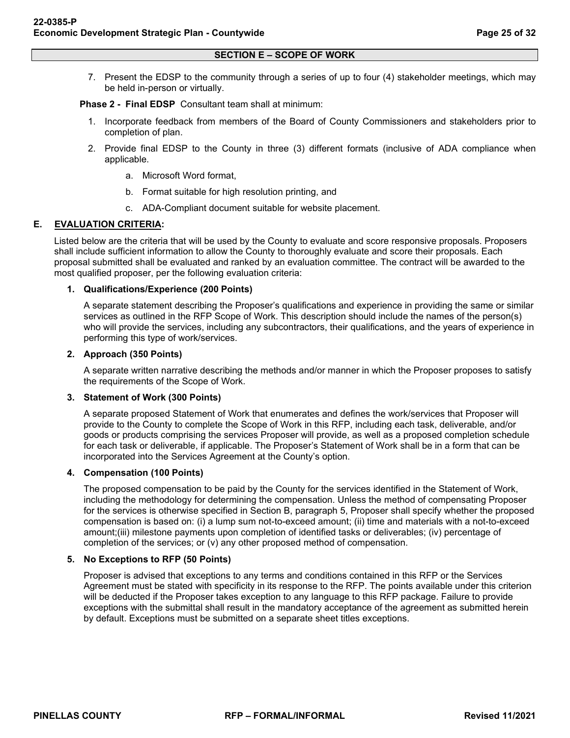7. Present the EDSP to the community through a series of up to four (4) stakeholder meetings, which may be held in-person or virtually.

**Phase 2 - Final EDSP** Consultant team shall at minimum:

- 1. Incorporate feedback from members of the Board of County Commissioners and stakeholders prior to completion of plan.
- 2. Provide final EDSP to the County in three (3) different formats (inclusive of ADA compliance when applicable.
	- a. Microsoft Word format,
	- b. Format suitable for high resolution printing, and
	- c. ADA-Compliant document suitable for website placement.

### **E. EVALUATION CRITERIA:**

Listed below are the criteria that will be used by the County to evaluate and score responsive proposals. Proposers shall include sufficient information to allow the County to thoroughly evaluate and score their proposals. Each proposal submitted shall be evaluated and ranked by an evaluation committee. The contract will be awarded to the most qualified proposer, per the following evaluation criteria:

### **1. Qualifications/Experience (200 Points)**

A separate statement describing the Proposer's qualifications and experience in providing the same or similar services as outlined in the RFP Scope of Work. This description should include the names of the person(s) who will provide the services, including any subcontractors, their qualifications, and the years of experience in performing this type of work/services.

#### **2. Approach (350 Points)**

A separate written narrative describing the methods and/or manner in which the Proposer proposes to satisfy the requirements of the Scope of Work.

#### **3. Statement of Work (300 Points)**

A separate proposed Statement of Work that enumerates and defines the work/services that Proposer will provide to the County to complete the Scope of Work in this RFP, including each task, deliverable, and/or goods or products comprising the services Proposer will provide, as well as a proposed completion schedule for each task or deliverable, if applicable. The Proposer's Statement of Work shall be in a form that can be incorporated into the Services Agreement at the County's option.

#### **4. Compensation (100 Points)**

The proposed compensation to be paid by the County for the services identified in the Statement of Work, including the methodology for determining the compensation. Unless the method of compensating Proposer for the services is otherwise specified in Section B, paragraph 5, Proposer shall specify whether the proposed compensation is based on: (i) a lump sum not-to-exceed amount; (ii) time and materials with a not-to-exceed amount;(iii) milestone payments upon completion of identified tasks or deliverables; (iv) percentage of completion of the services; or (v) any other proposed method of compensation.

### **5. No Exceptions to RFP (50 Points)**

Proposer is advised that exceptions to any terms and conditions contained in this RFP or the Services Agreement must be stated with specificity in its response to the RFP. The points available under this criterion will be deducted if the Proposer takes exception to any language to this RFP package. Failure to provide exceptions with the submittal shall result in the mandatory acceptance of the agreement as submitted herein by default. Exceptions must be submitted on a separate sheet titles exceptions.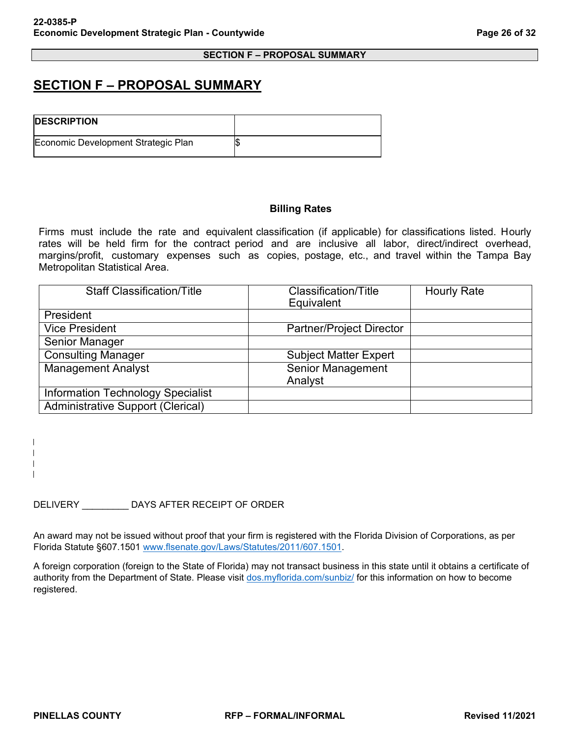### <span id="page-25-0"></span>**SECTION F – PROPOSAL SUMMARY**

| <b>IDESCRIPTION</b>                 |  |
|-------------------------------------|--|
| Economic Development Strategic Plan |  |

### **Billing Rates**

Firms must include the rate and equivalent classification (if applicable) for classifications listed. Hourly rates will be held firm for the contract period and are inclusive all labor, direct/indirect overhead, margins/profit, customary expenses such as copies, postage, etc., and travel within the Tampa Bay Metropolitan Statistical Area.

| <b>Staff Classification/Title</b>        | <b>Classification/Title</b><br>Equivalent | <b>Hourly Rate</b> |
|------------------------------------------|-------------------------------------------|--------------------|
| <b>President</b>                         |                                           |                    |
| <b>Vice President</b>                    | <b>Partner/Project Director</b>           |                    |
| Senior Manager                           |                                           |                    |
| <b>Consulting Manager</b>                | <b>Subject Matter Expert</b>              |                    |
| <b>Management Analyst</b>                | Senior Management<br>Analyst              |                    |
| <b>Information Technology Specialist</b> |                                           |                    |
| <b>Administrative Support (Clerical)</b> |                                           |                    |

DELIVERY \_\_\_\_\_\_\_\_\_ DAYS AFTER RECEIPT OF ORDER

An award may not be issued without proof that your firm is registered with the Florida Division of Corporations, as per Florida Statute §607.1501 [www.flsenate.gov/Laws/Statutes/2011/607.1501.](https://www.flsenate.gov/Laws/Statutes/2011/607.1501)

A foreign corporation (foreign to the State of Florida) may not transact business in this state until it obtains a certificate of authority from the Department of State. Please visit [dos.myflorida.com/sunbiz/](https://pinellascounty.agiloft.com/ui/de/d18f8096917b76aa064dacbcb2981c29/422254/4067/68394/2036/2026/128797/e/dos.myflorida.com/sunbiz/) for this information on how to become registered.

 $\mathsf{l}$  $\mathbf{I}$  $\mathbf{I}$  $\mathbf{I}$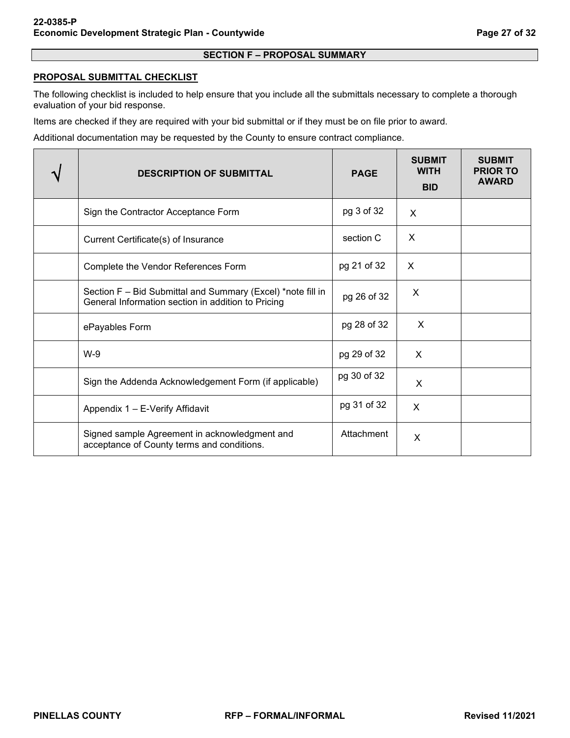### <span id="page-26-0"></span>**PROPOSAL SUBMITTAL CHECKLIST**

The following checklist is included to help ensure that you include all the submittals necessary to complete a thorough evaluation of your bid response.

Items are checked if they are required with your bid submittal or if they must be on file prior to award.

Additional documentation may be requested by the County to ensure contract compliance.

| <b>DESCRIPTION OF SUBMITTAL</b>                                                                                   | <b>PAGE</b> | <b>SUBMIT</b><br><b>WITH</b><br><b>BID</b> | <b>SUBMIT</b><br><b>PRIOR TO</b><br><b>AWARD</b> |
|-------------------------------------------------------------------------------------------------------------------|-------------|--------------------------------------------|--------------------------------------------------|
| Sign the Contractor Acceptance Form                                                                               | pg 3 of 32  | X                                          |                                                  |
| Current Certificate(s) of Insurance                                                                               | section C   | X                                          |                                                  |
| Complete the Vendor References Form                                                                               | pg 21 of 32 | X                                          |                                                  |
| Section F - Bid Submittal and Summary (Excel) *note fill in<br>General Information section in addition to Pricing | pg 26 of 32 | X                                          |                                                  |
| ePayables Form                                                                                                    | pg 28 of 32 | X                                          |                                                  |
| $W-9$                                                                                                             | pg 29 of 32 | $\times$                                   |                                                  |
| Sign the Addenda Acknowledgement Form (if applicable)                                                             | pg 30 of 32 | X                                          |                                                  |
| Appendix 1 - E-Verify Affidavit                                                                                   | pg 31 of 32 | X                                          |                                                  |
| Signed sample Agreement in acknowledgment and<br>acceptance of County terms and conditions.                       | Attachment  | X                                          |                                                  |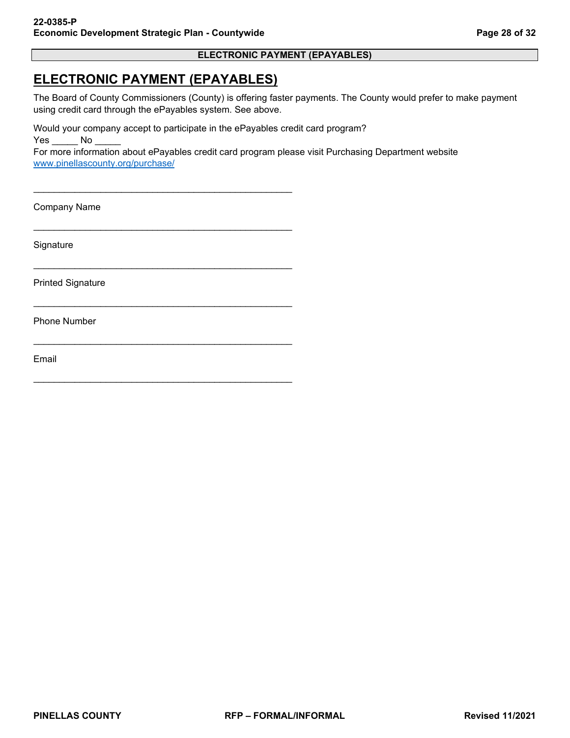### **ELECTRONIC PAYMENT (EPAYABLES)**

### <span id="page-27-0"></span>**ELECTRONIC PAYMENT (EPAYABLES)**

\_\_\_\_\_\_\_\_\_\_\_\_\_\_\_\_\_\_\_\_\_\_\_\_\_\_\_\_\_\_\_\_\_\_\_\_\_\_\_\_\_\_\_\_\_\_\_\_\_\_

\_\_\_\_\_\_\_\_\_\_\_\_\_\_\_\_\_\_\_\_\_\_\_\_\_\_\_\_\_\_\_\_\_\_\_\_\_\_\_\_\_\_\_\_\_\_\_\_\_\_

\_\_\_\_\_\_\_\_\_\_\_\_\_\_\_\_\_\_\_\_\_\_\_\_\_\_\_\_\_\_\_\_\_\_\_\_\_\_\_\_\_\_\_\_\_\_\_\_\_\_

\_\_\_\_\_\_\_\_\_\_\_\_\_\_\_\_\_\_\_\_\_\_\_\_\_\_\_\_\_\_\_\_\_\_\_\_\_\_\_\_\_\_\_\_\_\_\_\_\_\_

\_\_\_\_\_\_\_\_\_\_\_\_\_\_\_\_\_\_\_\_\_\_\_\_\_\_\_\_\_\_\_\_\_\_\_\_\_\_\_\_\_\_\_\_\_\_\_\_\_\_

\_\_\_\_\_\_\_\_\_\_\_\_\_\_\_\_\_\_\_\_\_\_\_\_\_\_\_\_\_\_\_\_\_\_\_\_\_\_\_\_\_\_\_\_\_\_\_\_\_\_

The Board of County Commissioners (County) is offering faster payments. The County would prefer to make payment using credit card through the ePayables system. See above.

Would your company accept to participate in the ePayables credit card program? Yes No

For more information about ePayables credit card program please visit Purchasing Department website [www.pinellascounty.org/purchase/](https://www.pinellascounty.org/purchase/) 

Company Name

**Signature** 

Printed Signature

Phone Number

Email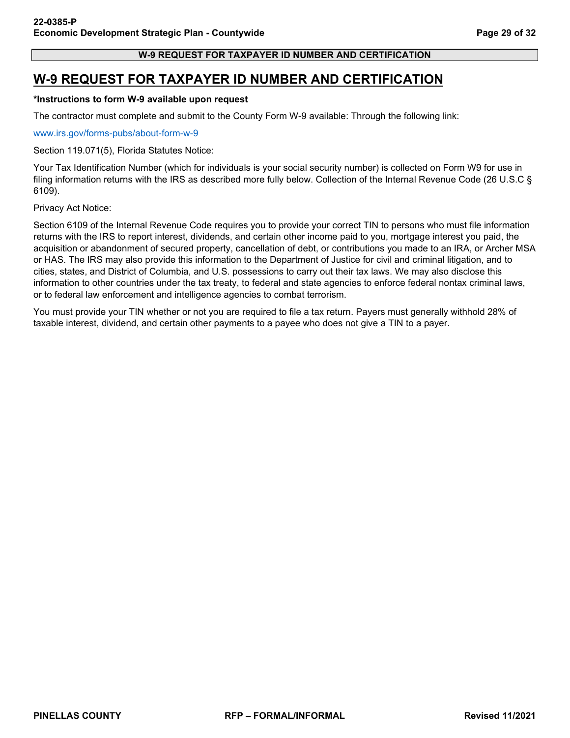### **W-9 REQUEST FOR TAXPAYER ID NUMBER AND CERTIFICATION**

### <span id="page-28-0"></span>**W-9 REQUEST FOR TAXPAYER ID NUMBER AND CERTIFICATION**

### **\*Instructions to form W-9 available upon request**

The contractor must complete and submit to the County Form W-9 available: Through the following link:

[www.irs.gov/forms-pubs/about-form-w-9](https://www.irs.gov/forms-pubs/about-form-w-9)

Section 119.071(5), Florida Statutes Notice:

Your Tax Identification Number (which for individuals is your social security number) is collected on Form W9 for use in filing information returns with the IRS as described more fully below. Collection of the Internal Revenue Code (26 U.S.C § 6109).

Privacy Act Notice:

Section 6109 of the Internal Revenue Code requires you to provide your correct TIN to persons who must file information returns with the IRS to report interest, dividends, and certain other income paid to you, mortgage interest you paid, the acquisition or abandonment of secured property, cancellation of debt, or contributions you made to an IRA, or Archer MSA or HAS. The IRS may also provide this information to the Department of Justice for civil and criminal litigation, and to cities, states, and District of Columbia, and U.S. possessions to carry out their tax laws. We may also disclose this information to other countries under the tax treaty, to federal and state agencies to enforce federal nontax criminal laws, or to federal law enforcement and intelligence agencies to combat terrorism.

You must provide your TIN whether or not you are required to file a tax return. Payers must generally withhold 28% of taxable interest, dividend, and certain other payments to a payee who does not give a TIN to a payer.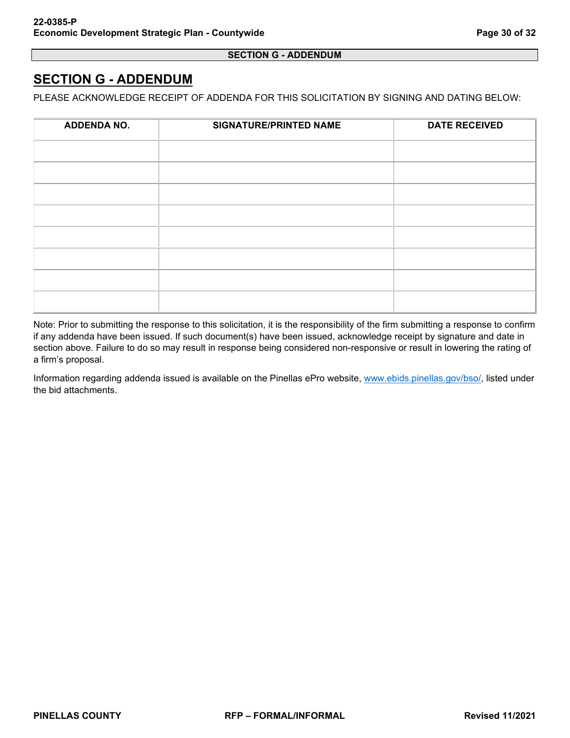### **SECTION G - ADDENDUM**

## <span id="page-29-0"></span>**SECTION G - ADDENDUM**

PLEASE ACKNOWLEDGE RECEIPT OF ADDENDA FOR THIS SOLICITATION BY SIGNING AND DATING BELOW:

| <b>ADDENDA NO.</b> | <b>SIGNATURE/PRINTED NAME</b> | <b>DATE RECEIVED</b> |
|--------------------|-------------------------------|----------------------|
|                    |                               |                      |
|                    |                               |                      |
|                    |                               |                      |
|                    |                               |                      |
|                    |                               |                      |
|                    |                               |                      |
|                    |                               |                      |
|                    |                               |                      |

Note: Prior to submitting the response to this solicitation, it is the responsibility of the firm submitting a response to confirm if any addenda have been issued. If such document(s) have been issued, acknowledge receipt by signature and date in section above. Failure to do so may result in response being considered non-responsive or result in lowering the rating of a firm's proposal.

Information regarding addenda issued is available on the Pinellas ePro website, [www.ebids.pinellas.gov/bso/,](https://www.ebids.pinellas.gov/bso/) listed under the bid attachments.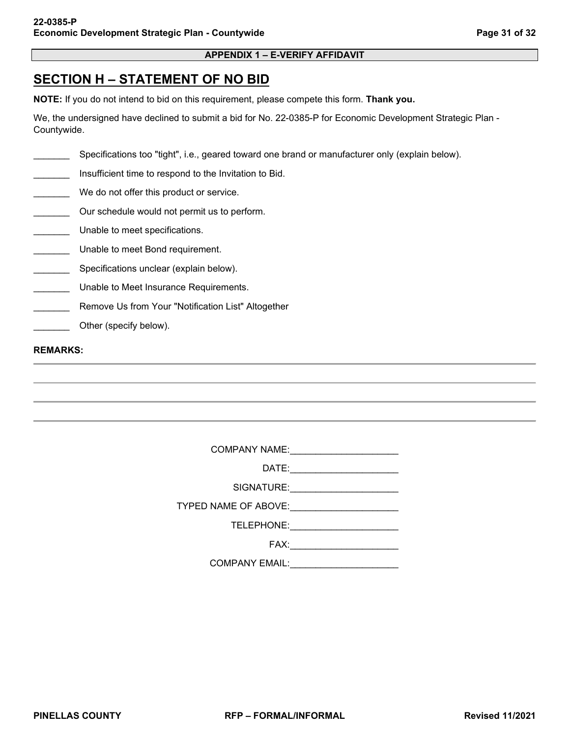### **APPENDIX 1 – E-VERIFY AFFIDAVIT**

## <span id="page-30-0"></span>**SECTION H – STATEMENT OF NO BID**

**NOTE:** If you do not intend to bid on this requirement, please compete this form. **Thank you.**

We, the undersigned have declined to submit a bid for No. 22-0385-P for Economic Development Strategic Plan - Countywide.

Specifications too "tight", i.e., geared toward one brand or manufacturer only (explain below).

Insufficient time to respond to the Invitation to Bid.

- We do not offer this product or service.
- Our schedule would not permit us to perform.
- \_\_\_\_\_\_\_ Unable to meet specifications.
- \_\_\_\_\_\_\_ Unable to meet Bond requirement.
- \_\_\_\_\_\_\_ Specifications unclear (explain below).
- **LETT** Unable to Meet Insurance Requirements.
- **Remove Us from Your "Notification List" Altogether**
- Other (specify below).

#### **REMARKS:**

COMPANY NAME:\_\_\_\_\_\_\_\_\_\_\_\_\_\_\_\_\_\_\_\_\_

| DATE |  |  |  |  |
|------|--|--|--|--|
|      |  |  |  |  |

SIGNATURE:

TYPED NAME OF ABOVE:

TELEPHONE: \_\_\_\_\_\_\_\_\_\_\_\_\_\_\_\_\_\_\_\_\_\_

FAX:\_\_\_\_\_\_\_\_\_\_\_\_\_\_\_\_\_\_\_\_\_

COMPANY EMAIL:\_\_\_\_\_\_\_\_\_\_\_\_\_\_\_\_\_\_\_\_\_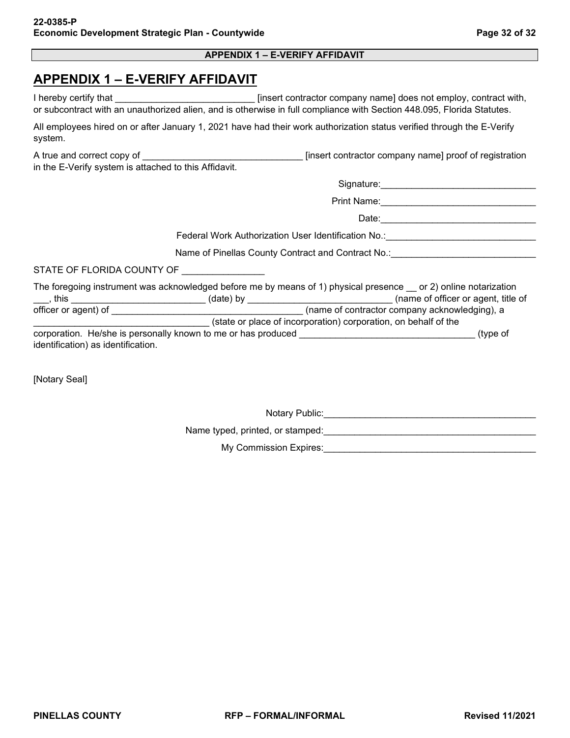### **APPENDIX 1 – E-VERIFY AFFIDAVIT**

## <span id="page-31-0"></span>**APPENDIX 1 – E-VERIFY AFFIDAVIT**

|                                                       | or subcontract with an unauthorized alien, and is otherwise in full compliance with Section 448.095, Florida Statutes.                                                                                                                   |
|-------------------------------------------------------|------------------------------------------------------------------------------------------------------------------------------------------------------------------------------------------------------------------------------------------|
| system.                                               | All employees hired on or after January 1, 2021 have had their work authorization status verified through the E-Verify                                                                                                                   |
| in the E-Verify system is attached to this Affidavit. |                                                                                                                                                                                                                                          |
|                                                       |                                                                                                                                                                                                                                          |
|                                                       |                                                                                                                                                                                                                                          |
|                                                       |                                                                                                                                                                                                                                          |
|                                                       | Federal Work Authorization User Identification No.: ____________________________                                                                                                                                                         |
|                                                       | Name of Pinellas County Contract and Contract No.: Community Contract No.: Community Contract Only 1                                                                                                                                     |
| STATE OF FLORIDA COUNTY OF                            |                                                                                                                                                                                                                                          |
|                                                       | The foregoing instrument was acknowledged before me by means of 1) physical presence __ or 2) online notarization<br>____, this ______________________________(date) by _____________________________(name of officer or agent, title of |
|                                                       |                                                                                                                                                                                                                                          |
|                                                       | state or place of incorporation) corporation, on behalf of the                                                                                                                                                                           |
| identification) as identification.                    |                                                                                                                                                                                                                                          |
|                                                       |                                                                                                                                                                                                                                          |
| <b>Notary Seall</b>                                   |                                                                                                                                                                                                                                          |

[Notary Seal]

Notary Public:\_\_\_\_\_\_\_\_\_\_\_\_\_\_\_\_\_\_\_\_\_\_\_\_\_\_\_\_\_\_\_\_\_\_\_\_\_\_\_\_\_ Name typed, printed, or stamped:\_\_\_\_\_\_\_\_\_\_\_\_\_\_\_\_\_\_\_\_\_\_\_\_\_\_\_\_\_\_\_\_\_\_\_\_\_\_\_\_\_ My Commission Expires:\_\_\_\_\_\_\_\_\_\_\_\_\_\_\_\_\_\_\_\_\_\_\_\_\_\_\_\_\_\_\_\_\_\_\_\_\_\_\_\_\_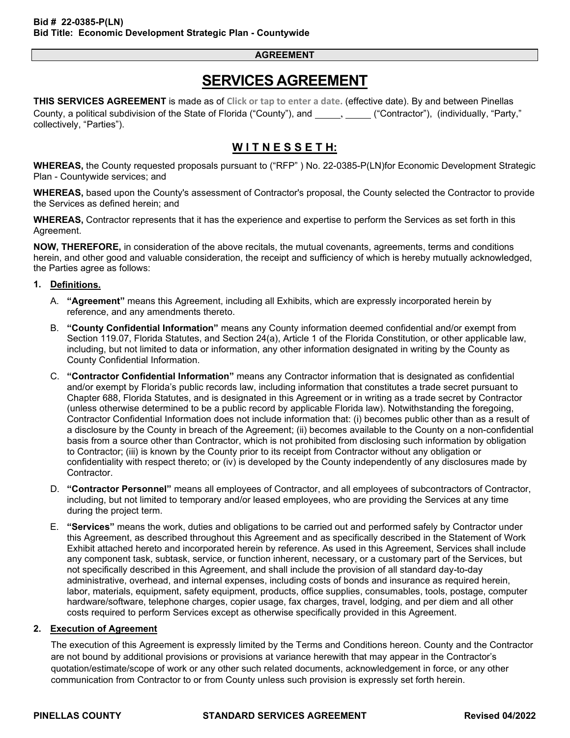## **SERVICES AGREEMENT**

**THIS SERVICES AGREEMENT** is made as of **Click or tap to enter a date.** (effective date). By and between Pinellas County, a political subdivision of the State of Florida ("County"), and \_\_\_\_\_, \_\_\_\_\_ ("Contractor"), (individually, "Party," collectively, "Parties").

### **W I T N E S S E T H:**

**WHEREAS,** the County requested proposals pursuant to ("RFP" ) No. 22-0385-P(LN)for Economic Development Strategic Plan - Countywide services; and

**WHEREAS,** based upon the County's assessment of Contractor's proposal, the County selected the Contractor to provide the Services as defined herein; and

**WHEREAS,** Contractor represents that it has the experience and expertise to perform the Services as set forth in this Agreement.

**NOW, THEREFORE,** in consideration of the above recitals, the mutual covenants, agreements, terms and conditions herein, and other good and valuable consideration, the receipt and sufficiency of which is hereby mutually acknowledged, the Parties agree as follows:

### **1. Definitions.**

- A. **"Agreement"** means this Agreement, including all Exhibits, which are expressly incorporated herein by reference, and any amendments thereto.
- B. **"County Confidential Information"** means any County information deemed confidential and/or exempt from Section 119.07, Florida Statutes, and Section 24(a), Article 1 of the Florida Constitution, or other applicable law, including, but not limited to data or information, any other information designated in writing by the County as County Confidential Information.
- C. **"Contractor Confidential Information"** means any Contractor information that is designated as confidential and/or exempt by Florida's public records law, including information that constitutes a trade secret pursuant to Chapter 688, Florida Statutes, and is designated in this Agreement or in writing as a trade secret by Contractor (unless otherwise determined to be a public record by applicable Florida law). Notwithstanding the foregoing, Contractor Confidential Information does not include information that: (i) becomes public other than as a result of a disclosure by the County in breach of the Agreement; (ii) becomes available to the County on a non-confidential basis from a source other than Contractor, which is not prohibited from disclosing such information by obligation to Contractor; (iii) is known by the County prior to its receipt from Contractor without any obligation or confidentiality with respect thereto; or (iv) is developed by the County independently of any disclosures made by Contractor.
- D. **"Contractor Personnel"** means all employees of Contractor, and all employees of subcontractors of Contractor, including, but not limited to temporary and/or leased employees, who are providing the Services at any time during the project term.
- E. **"Services"** means the work, duties and obligations to be carried out and performed safely by Contractor under this Agreement, as described throughout this Agreement and as specifically described in the Statement of Work Exhibit attached hereto and incorporated herein by reference. As used in this Agreement, Services shall include any component task, subtask, service, or function inherent, necessary, or a customary part of the Services, but not specifically described in this Agreement, and shall include the provision of all standard day-to-day administrative, overhead, and internal expenses, including costs of bonds and insurance as required herein, labor, materials, equipment, safety equipment, products, office supplies, consumables, tools, postage, computer hardware/software, telephone charges, copier usage, fax charges, travel, lodging, and per diem and all other costs required to perform Services except as otherwise specifically provided in this Agreement.

### **2. Execution of Agreement**

The execution of this Agreement is expressly limited by the Terms and Conditions hereon. County and the Contractor are not bound by additional provisions or provisions at variance herewith that may appear in the Contractor's quotation/estimate/scope of work or any other such related documents, acknowledgement in force, or any other communication from Contractor to or from County unless such provision is expressly set forth herein.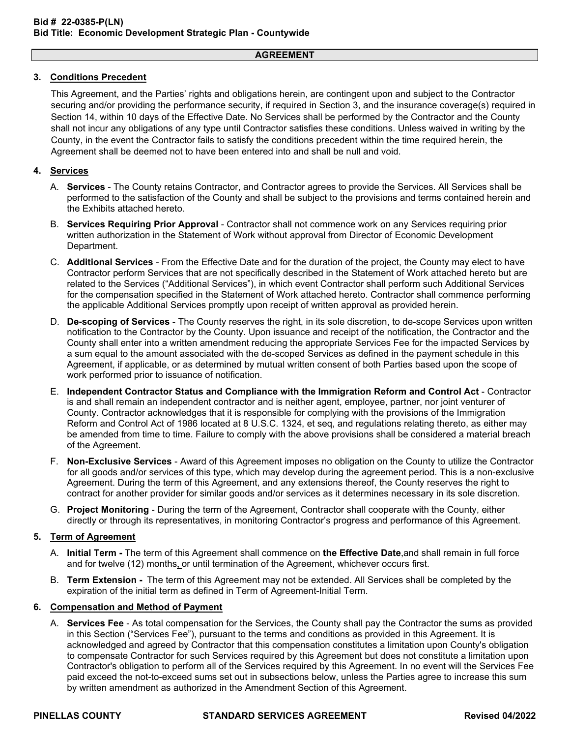### **3. Conditions Precedent**

This Agreement, and the Parties' rights and obligations herein, are contingent upon and subject to the Contractor securing and/or providing the performance security, if required in Section 3, and the insurance coverage(s) required in Section 14, within 10 days of the Effective Date. No Services shall be performed by the Contractor and the County shall not incur any obligations of any type until Contractor satisfies these conditions. Unless waived in writing by the County, in the event the Contractor fails to satisfy the conditions precedent within the time required herein, the Agreement shall be deemed not to have been entered into and shall be null and void.

### **4. Services**

- A. **Services** The County retains Contractor, and Contractor agrees to provide the Services. All Services shall be performed to the satisfaction of the County and shall be subject to the provisions and terms contained herein and the Exhibits attached hereto.
- B. **Services Requiring Prior Approval** Contractor shall not commence work on any Services requiring prior written authorization in the Statement of Work without approval from Director of Economic Development Department.
- C. **Additional Services** From the Effective Date and for the duration of the project, the County may elect to have Contractor perform Services that are not specifically described in the Statement of Work attached hereto but are related to the Services ("Additional Services"), in which event Contractor shall perform such Additional Services for the compensation specified in the Statement of Work attached hereto. Contractor shall commence performing the applicable Additional Services promptly upon receipt of written approval as provided herein.
- D. **De-scoping of Services** The County reserves the right, in its sole discretion, to de-scope Services upon written notification to the Contractor by the County. Upon issuance and receipt of the notification, the Contractor and the County shall enter into a written amendment reducing the appropriate Services Fee for the impacted Services by a sum equal to the amount associated with the de-scoped Services as defined in the payment schedule in this Agreement, if applicable, or as determined by mutual written consent of both Parties based upon the scope of work performed prior to issuance of notification.
- E. **Independent Contractor Status and Compliance with the Immigration Reform and Control Act** Contractor is and shall remain an independent contractor and is neither agent, employee, partner, nor joint venturer of County. Contractor acknowledges that it is responsible for complying with the provisions of the Immigration Reform and Control Act of 1986 located at 8 U.S.C. 1324, et seq, and regulations relating thereto, as either may be amended from time to time. Failure to comply with the above provisions shall be considered a material breach of the Agreement.
- F. **Non-Exclusive Services** Award of this Agreement imposes no obligation on the County to utilize the Contractor for all goods and/or services of this type, which may develop during the agreement period. This is a non-exclusive Agreement. During the term of this Agreement, and any extensions thereof, the County reserves the right to contract for another provider for similar goods and/or services as it determines necessary in its sole discretion.
- G. **Project Monitoring** During the term of the Agreement, Contractor shall cooperate with the County, either directly or through its representatives, in monitoring Contractor's progress and performance of this Agreement.

### **5. Term of Agreement**

- A. **Initial Term -** The term of this Agreement shall commence on **the Effective Date**,and shall remain in full force and for twelve (12) months, or until termination of the Agreement, whichever occurs first.
- B. **Term Extension -** The term of this Agreement may not be extended. All Services shall be completed by the expiration of the initial term as defined in Term of Agreement-Initial Term.

### **6. Compensation and Method of Payment**

A. **Services Fee** - As total compensation for the Services, the County shall pay the Contractor the sums as provided in this Section ("Services Fee"), pursuant to the terms and conditions as provided in this Agreement. It is acknowledged and agreed by Contractor that this compensation constitutes a limitation upon County's obligation to compensate Contractor for such Services required by this Agreement but does not constitute a limitation upon Contractor's obligation to perform all of the Services required by this Agreement. In no event will the Services Fee paid exceed the not-to-exceed sums set out in subsections below, unless the Parties agree to increase this sum by written amendment as authorized in the Amendment Section of this Agreement.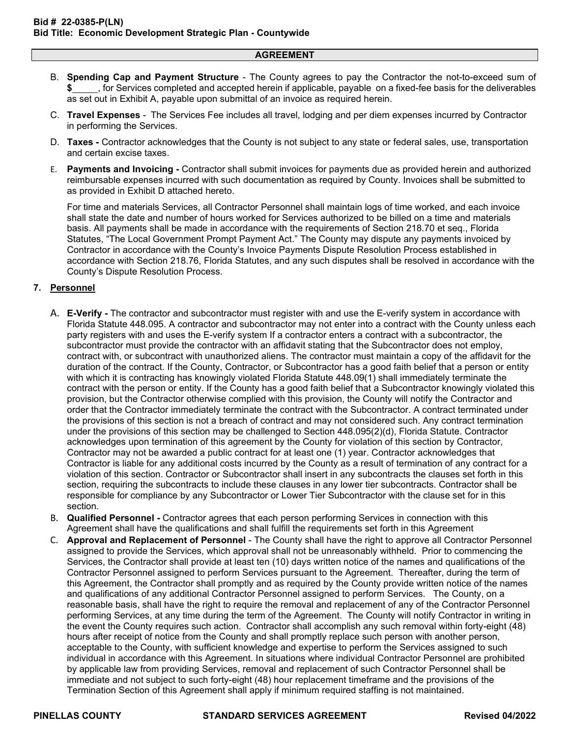- B. **Spending Cap and Payment Structure** The County agrees to pay the Contractor the not-to-exceed sum of **\$** , for Services completed and accepted herein if applicable, payable on a fixed-fee basis for the deliverables as set out in Exhibit A, payable upon submittal of an invoice as required herein.
- C. **Travel Expenses**  The Services Fee includes all travel, lodging and per diem expenses incurred by Contractor in performing the Services.
- D. **Taxes** Contractor acknowledges that the County is not subject to any state or federal sales, use, transportation and certain excise taxes.
- E. **Payments and Invoicing -** Contractor shall submit invoices for payments due as provided herein and authorized reimbursable expenses incurred with such documentation as required by County. Invoices shall be submitted to as provided in Exhibit D attached hereto.

For time and materials Services, all Contractor Personnel shall maintain logs of time worked, and each invoice shall state the date and number of hours worked for Services authorized to be billed on a time and materials basis. All payments shall be made in accordance with the requirements of Section 218.70 et seq., Florida Statutes, "The Local Government Prompt Payment Act." The County may dispute any payments invoiced by Contractor in accordance with the County's Invoice Payments Dispute Resolution Process established in accordance with Section 218.76, Florida Statutes, and any such disputes shall be resolved in accordance with the County's Dispute Resolution Process.

### **7. Personnel**

- A. **E-Verify -** The contractor and subcontractor must register with and use the E-verify system in accordance with Florida Statute 448.095. A contractor and subcontractor may not enter into a contract with the County unless each party registers with and uses the E-verify system If a contractor enters a contract with a subcontractor, the subcontractor must provide the contractor with an affidavit stating that the Subcontractor does not employ, contract with, or subcontract with unauthorized aliens. The contractor must maintain a copy of the affidavit for the duration of the contract. If the County, Contractor, or Subcontractor has a good faith belief that a person or entity with which it is contracting has knowingly violated Florida Statute 448.09(1) shall immediately terminate the contract with the person or entity. If the County has a good faith belief that a Subcontractor knowingly violated this provision, but the Contractor otherwise complied with this provision, the County will notify the Contractor and order that the Contractor immediately terminate the contract with the Subcontractor. A contract terminated under the provisions of this section is not a breach of contract and may not considered such. Any contract termination under the provisions of this section may be challenged to Section 448.095(2)(d), Florida Statute. Contractor acknowledges upon termination of this agreement by the County for violation of this section by Contractor, Contractor may not be awarded a public contract for at least one (1) year. Contractor acknowledges that Contractor is liable for any additional costs incurred by the County as a result of termination of any contract for a violation of this section. Contractor or Subcontractor shall insert in any subcontracts the clauses set forth in this section, requiring the subcontracts to include these clauses in any lower tier subcontracts. Contractor shall be responsible for compliance by any Subcontractor or Lower Tier Subcontractor with the clause set for in this section.
- B. **Qualified Personnel -** Contractor agrees that each person performing Services in connection with this Agreement shall have the qualifications and shall fulfill the requirements set forth in this Agreement
- C. **Approval and Replacement of Personnel** The County shall have the right to approve all Contractor Personnel assigned to provide the Services, which approval shall not be unreasonably withheld. Prior to commencing the Services, the Contractor shall provide at least ten (10) days written notice of the names and qualifications of the Contractor Personnel assigned to perform Services pursuant to the Agreement. Thereafter, during the term of this Agreement, the Contractor shall promptly and as required by the County provide written notice of the names and qualifications of any additional Contractor Personnel assigned to perform Services. The County, on a reasonable basis, shall have the right to require the removal and replacement of any of the Contractor Personnel performing Services, at any time during the term of the Agreement. The County will notify Contractor in writing in the event the County requires such action. Contractor shall accomplish any such removal within forty-eight (48) hours after receipt of notice from the County and shall promptly replace such person with another person, acceptable to the County, with sufficient knowledge and expertise to perform the Services assigned to such individual in accordance with this Agreement. In situations where individual Contractor Personnel are prohibited by applicable law from providing Services, removal and replacement of such Contractor Personnel shall be immediate and not subject to such forty-eight (48) hour replacement timeframe and the provisions of the Termination Section of this Agreement shall apply if minimum required staffing is not maintained.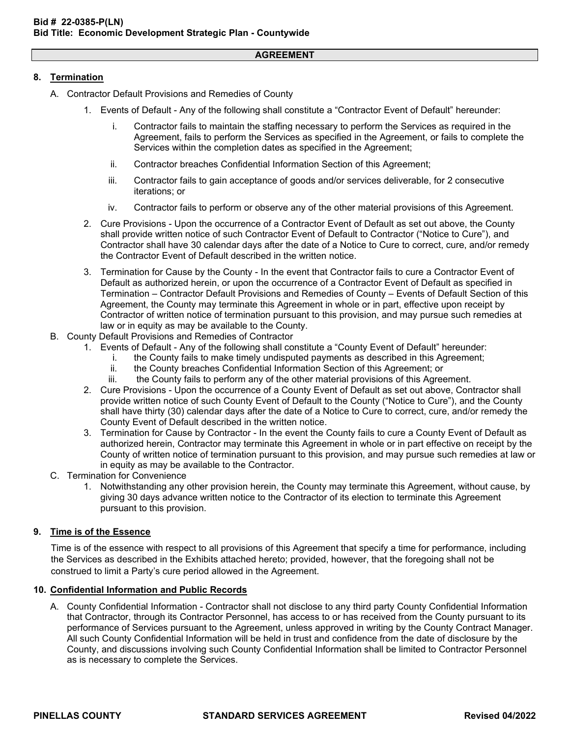### **8. Termination**

- A. Contractor Default Provisions and Remedies of County
	- 1. Events of Default Any of the following shall constitute a "Contractor Event of Default" hereunder:
		- i. Contractor fails to maintain the staffing necessary to perform the Services as required in the Agreement, fails to perform the Services as specified in the Agreement, or fails to complete the Services within the completion dates as specified in the Agreement;
		- ii. Contractor breaches Confidential Information Section of this Agreement;
		- iii. Contractor fails to gain acceptance of goods and/or services deliverable, for 2 consecutive iterations; or
		- iv. Contractor fails to perform or observe any of the other material provisions of this Agreement.
	- 2. Cure Provisions Upon the occurrence of a Contractor Event of Default as set out above, the County shall provide written notice of such Contractor Event of Default to Contractor ("Notice to Cure"), and Contractor shall have 30 calendar days after the date of a Notice to Cure to correct, cure, and/or remedy the Contractor Event of Default described in the written notice.
	- 3. Termination for Cause by the County In the event that Contractor fails to cure a Contractor Event of Default as authorized herein, or upon the occurrence of a Contractor Event of Default as specified in Termination – Contractor Default Provisions and Remedies of County – Events of Default Section of this Agreement, the County may terminate this Agreement in whole or in part, effective upon receipt by Contractor of written notice of termination pursuant to this provision, and may pursue such remedies at law or in equity as may be available to the County.
- B. County Default Provisions and Remedies of Contractor
	- 1. Events of Default Any of the following shall constitute a "County Event of Default" hereunder:
		- i. the County fails to make timely undisputed payments as described in this Agreement;
		- ii. the County breaches Confidential Information Section of this Agreement; or
		- the County fails to perform any of the other material provisions of this Agreement.
	- 2. Cure Provisions Upon the occurrence of a County Event of Default as set out above, Contractor shall provide written notice of such County Event of Default to the County ("Notice to Cure"), and the County shall have thirty (30) calendar days after the date of a Notice to Cure to correct, cure, and/or remedy the County Event of Default described in the written notice.
	- 3. Termination for Cause by Contractor In the event the County fails to cure a County Event of Default as authorized herein, Contractor may terminate this Agreement in whole or in part effective on receipt by the County of written notice of termination pursuant to this provision, and may pursue such remedies at law or in equity as may be available to the Contractor.
- C. Termination for Convenience
	- 1. Notwithstanding any other provision herein, the County may terminate this Agreement, without cause, by giving 30 days advance written notice to the Contractor of its election to terminate this Agreement pursuant to this provision.

### **9. Time is of the Essence**

Time is of the essence with respect to all provisions of this Agreement that specify a time for performance, including the Services as described in the Exhibits attached hereto; provided, however, that the foregoing shall not be construed to limit a Party's cure period allowed in the Agreement.

### **10. Confidential Information and Public Records**

A. County Confidential Information - Contractor shall not disclose to any third party County Confidential Information that Contractor, through its Contractor Personnel, has access to or has received from the County pursuant to its performance of Services pursuant to the Agreement, unless approved in writing by the County Contract Manager. All such County Confidential Information will be held in trust and confidence from the date of disclosure by the County, and discussions involving such County Confidential Information shall be limited to Contractor Personnel as is necessary to complete the Services.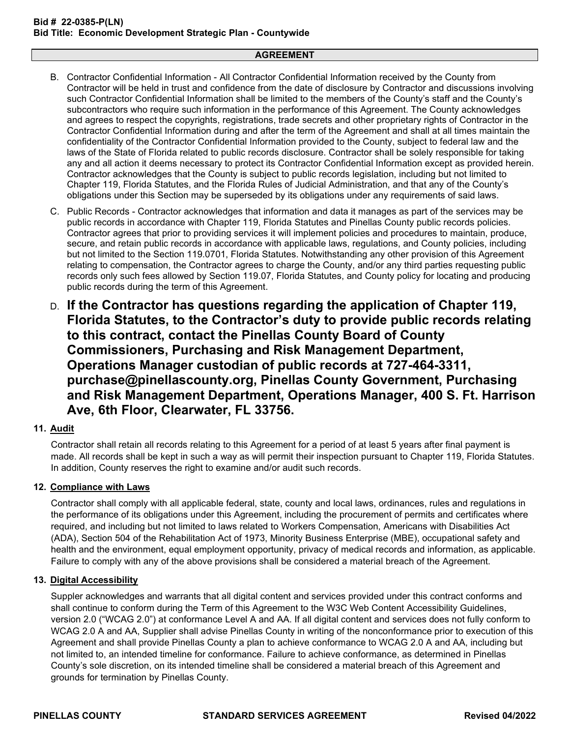- B. Contractor Confidential Information All Contractor Confidential Information received by the County from Contractor will be held in trust and confidence from the date of disclosure by Contractor and discussions involving such Contractor Confidential Information shall be limited to the members of the County's staff and the County's subcontractors who require such information in the performance of this Agreement. The County acknowledges and agrees to respect the copyrights, registrations, trade secrets and other proprietary rights of Contractor in the Contractor Confidential Information during and after the term of the Agreement and shall at all times maintain the confidentiality of the Contractor Confidential Information provided to the County, subject to federal law and the laws of the State of Florida related to public records disclosure. Contractor shall be solely responsible for taking any and all action it deems necessary to protect its Contractor Confidential Information except as provided herein. Contractor acknowledges that the County is subject to public records legislation, including but not limited to Chapter 119, Florida Statutes, and the Florida Rules of Judicial Administration, and that any of the County's obligations under this Section may be superseded by its obligations under any requirements of said laws.
- C. Public Records Contractor acknowledges that information and data it manages as part of the services may be public records in accordance with Chapter 119, Florida Statutes and Pinellas County public records policies. Contractor agrees that prior to providing services it will implement policies and procedures to maintain, produce, secure, and retain public records in accordance with applicable laws, regulations, and County policies, including but not limited to the Section 119.0701, Florida Statutes. Notwithstanding any other provision of this Agreement relating to compensation, the Contractor agrees to charge the County, and/or any third parties requesting public records only such fees allowed by Section 119.07, Florida Statutes, and County policy for locating and producing public records during the term of this Agreement.
- D. **If the Contractor has questions regarding the application of Chapter 119, Florida Statutes, to the Contractor's duty to provide public records relating to this contract, contact the Pinellas County Board of County Commissioners, Purchasing and Risk Management Department, Operations Manager custodian of public records at 727-464-3311, purchase@pinellascounty.org, Pinellas County Government, Purchasing and Risk Management Department, Operations Manager, 400 S. Ft. Harrison Ave, 6th Floor, Clearwater, FL 33756.**

### **11. Audit**

Contractor shall retain all records relating to this Agreement for a period of at least 5 years after final payment is made. All records shall be kept in such a way as will permit their inspection pursuant to Chapter 119, Florida Statutes. In addition, County reserves the right to examine and/or audit such records.

### **12. Compliance with Laws**

Contractor shall comply with all applicable federal, state, county and local laws, ordinances, rules and regulations in the performance of its obligations under this Agreement, including the procurement of permits and certificates where required, and including but not limited to laws related to Workers Compensation, Americans with Disabilities Act (ADA), Section 504 of the Rehabilitation Act of 1973, Minority Business Enterprise (MBE), occupational safety and health and the environment, equal employment opportunity, privacy of medical records and information, as applicable. Failure to comply with any of the above provisions shall be considered a material breach of the Agreement.

### **13. Digital Accessibility**

Suppler acknowledges and warrants that all digital content and services provided under this contract conforms and shall continue to conform during the Term of this Agreement to the W3C Web Content Accessibility Guidelines, version 2.0 ("WCAG 2.0") at conformance Level A and AA. If all digital content and services does not fully conform to WCAG 2.0 A and AA, Supplier shall advise Pinellas County in writing of the nonconformance prior to execution of this Agreement and shall provide Pinellas County a plan to achieve conformance to WCAG 2.0 A and AA, including but not limited to, an intended timeline for conformance. Failure to achieve conformance, as determined in Pinellas County's sole discretion, on its intended timeline shall be considered a material breach of this Agreement and grounds for termination by Pinellas County.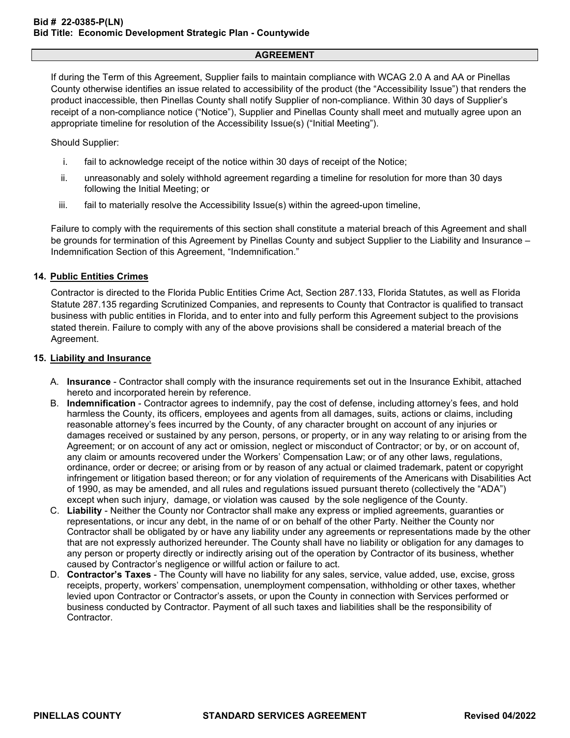If during the Term of this Agreement, Supplier fails to maintain compliance with WCAG 2.0 A and AA or Pinellas County otherwise identifies an issue related to accessibility of the product (the "Accessibility Issue") that renders the product inaccessible, then Pinellas County shall notify Supplier of non-compliance. Within 30 days of Supplier's receipt of a non-compliance notice ("Notice"), Supplier and Pinellas County shall meet and mutually agree upon an appropriate timeline for resolution of the Accessibility Issue(s) ("Initial Meeting").

Should Supplier:

- i. fail to acknowledge receipt of the notice within 30 days of receipt of the Notice;
- ii. unreasonably and solely withhold agreement regarding a timeline for resolution for more than 30 days following the Initial Meeting; or
- iii. fail to materially resolve the Accessibility Issue(s) within the agreed-upon timeline,

Failure to comply with the requirements of this section shall constitute a material breach of this Agreement and shall be grounds for termination of this Agreement by Pinellas County and subject Supplier to the Liability and Insurance – Indemnification Section of this Agreement, "Indemnification."

### **14. Public Entities Crimes**

Contractor is directed to the Florida Public Entities Crime Act, Section 287.133, Florida Statutes, as well as Florida Statute 287.135 regarding Scrutinized Companies, and represents to County that Contractor is qualified to transact business with public entities in Florida, and to enter into and fully perform this Agreement subject to the provisions stated therein. Failure to comply with any of the above provisions shall be considered a material breach of the Agreement.

#### **15. Liability and Insurance**

- A. **Insurance** Contractor shall comply with the insurance requirements set out in the Insurance Exhibit, attached hereto and incorporated herein by reference.
- B. **Indemnification** Contractor agrees to indemnify, pay the cost of defense, including attorney's fees, and hold harmless the County, its officers, employees and agents from all damages, suits, actions or claims, including reasonable attorney's fees incurred by the County, of any character brought on account of any injuries or damages received or sustained by any person, persons, or property, or in any way relating to or arising from the Agreement; or on account of any act or omission, neglect or misconduct of Contractor; or by, or on account of, any claim or amounts recovered under the Workers' Compensation Law; or of any other laws, regulations, ordinance, order or decree; or arising from or by reason of any actual or claimed trademark, patent or copyright infringement or litigation based thereon; or for any violation of requirements of the Americans with Disabilities Act of 1990, as may be amended, and all rules and regulations issued pursuant thereto (collectively the "ADA") except when such injury, damage, or violation was caused by the sole negligence of the County.
- C. **Liability** Neither the County nor Contractor shall make any express or implied agreements, guaranties or representations, or incur any debt, in the name of or on behalf of the other Party. Neither the County nor Contractor shall be obligated by or have any liability under any agreements or representations made by the other that are not expressly authorized hereunder. The County shall have no liability or obligation for any damages to any person or property directly or indirectly arising out of the operation by Contractor of its business, whether caused by Contractor's negligence or willful action or failure to act.
- D. **Contractor's Taxes** The County will have no liability for any sales, service, value added, use, excise, gross receipts, property, workers' compensation, unemployment compensation, withholding or other taxes, whether levied upon Contractor or Contractor's assets, or upon the County in connection with Services performed or business conducted by Contractor. Payment of all such taxes and liabilities shall be the responsibility of **Contractor**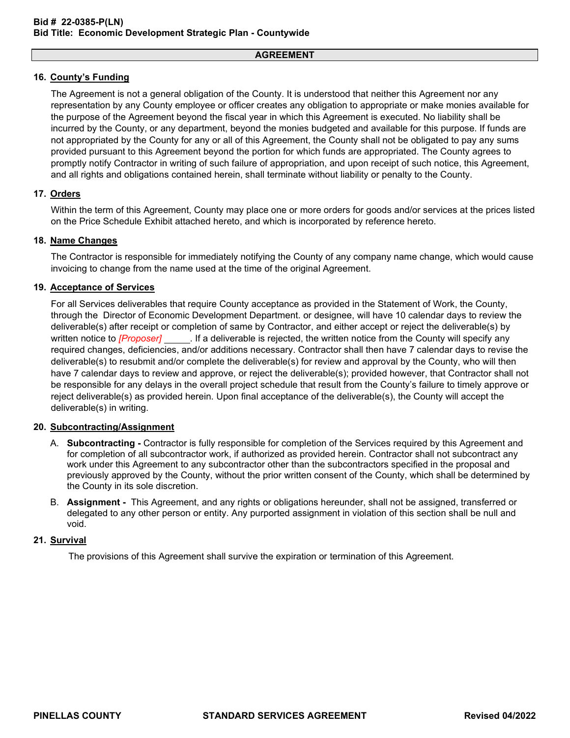### **16. County's Funding**

The Agreement is not a general obligation of the County. It is understood that neither this Agreement nor any representation by any County employee or officer creates any obligation to appropriate or make monies available for the purpose of the Agreement beyond the fiscal year in which this Agreement is executed. No liability shall be incurred by the County, or any department, beyond the monies budgeted and available for this purpose. If funds are not appropriated by the County for any or all of this Agreement, the County shall not be obligated to pay any sums provided pursuant to this Agreement beyond the portion for which funds are appropriated. The County agrees to promptly notify Contractor in writing of such failure of appropriation, and upon receipt of such notice, this Agreement, and all rights and obligations contained herein, shall terminate without liability or penalty to the County.

### **17. Orders**

Within the term of this Agreement, County may place one or more orders for goods and/or services at the prices listed on the Price Schedule Exhibit attached hereto, and which is incorporated by reference hereto.

### **18. Name Changes**

The Contractor is responsible for immediately notifying the County of any company name change, which would cause invoicing to change from the name used at the time of the original Agreement.

### **19. Acceptance of Services**

For all Services deliverables that require County acceptance as provided in the Statement of Work, the County, through the Director of Economic Development Department. or designee, will have 10 calendar days to review the deliverable(s) after receipt or completion of same by Contractor, and either accept or reject the deliverable(s) by written notice to *[Proposer]* . If a deliverable is rejected, the written notice from the County will specify any required changes, deficiencies, and/or additions necessary. Contractor shall then have 7 calendar days to revise the deliverable(s) to resubmit and/or complete the deliverable(s) for review and approval by the County, who will then have 7 calendar days to review and approve, or reject the deliverable(s); provided however, that Contractor shall not be responsible for any delays in the overall project schedule that result from the County's failure to timely approve or reject deliverable(s) as provided herein. Upon final acceptance of the deliverable(s), the County will accept the deliverable(s) in writing.

### **20. Subcontracting/Assignment**

- A. **Subcontracting -** Contractor is fully responsible for completion of the Services required by this Agreement and for completion of all subcontractor work, if authorized as provided herein. Contractor shall not subcontract any work under this Agreement to any subcontractor other than the subcontractors specified in the proposal and previously approved by the County, without the prior written consent of the County, which shall be determined by the County in its sole discretion.
- B. **Assignment -** This Agreement, and any rights or obligations hereunder, shall not be assigned, transferred or delegated to any other person or entity. Any purported assignment in violation of this section shall be null and void.

### **21. Survival**

The provisions of this Agreement shall survive the expiration or termination of this Agreement.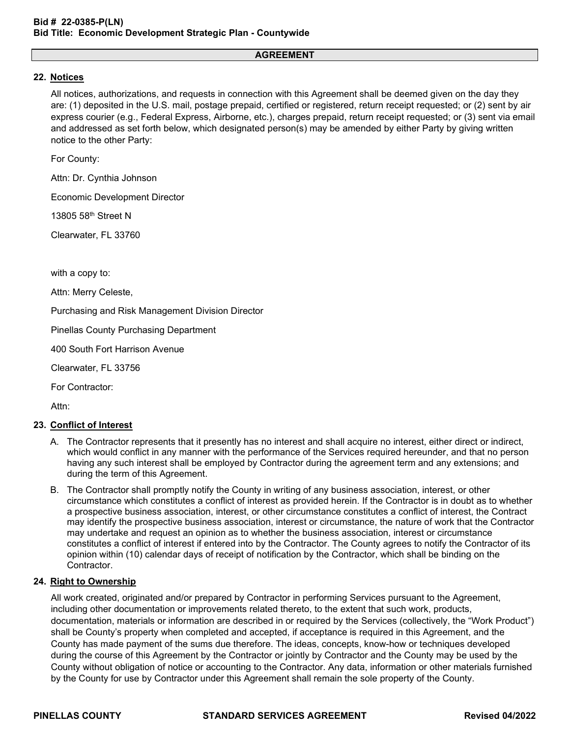### **22. Notices**

All notices, authorizations, and requests in connection with this Agreement shall be deemed given on the day they are: (1) deposited in the U.S. mail, postage prepaid, certified or registered, return receipt requested; or (2) sent by air express courier (e.g., Federal Express, Airborne, etc.), charges prepaid, return receipt requested; or (3) sent via email and addressed as set forth below, which designated person(s) may be amended by either Party by giving written notice to the other Party:

For County:

Attn: Dr. Cynthia Johnson

Economic Development Director

13805 58th Street N

Clearwater, FL 33760

with a copy to:

Attn: Merry Celeste,

Purchasing and Risk Management Division Director

Pinellas County Purchasing Department

400 South Fort Harrison Avenue

Clearwater, FL 33756

For Contractor:

Attn:

### **23. Conflict of Interest**

- A. The Contractor represents that it presently has no interest and shall acquire no interest, either direct or indirect, which would conflict in any manner with the performance of the Services required hereunder, and that no person having any such interest shall be employed by Contractor during the agreement term and any extensions; and during the term of this Agreement.
- B. The Contractor shall promptly notify the County in writing of any business association, interest, or other circumstance which constitutes a conflict of interest as provided herein. If the Contractor is in doubt as to whether a prospective business association, interest, or other circumstance constitutes a conflict of interest, the Contract may identify the prospective business association, interest or circumstance, the nature of work that the Contractor may undertake and request an opinion as to whether the business association, interest or circumstance constitutes a conflict of interest if entered into by the Contractor. The County agrees to notify the Contractor of its opinion within (10) calendar days of receipt of notification by the Contractor, which shall be binding on the Contractor.

### **24. Right to Ownership**

All work created, originated and/or prepared by Contractor in performing Services pursuant to the Agreement, including other documentation or improvements related thereto, to the extent that such work, products, documentation, materials or information are described in or required by the Services (collectively, the "Work Product") shall be County's property when completed and accepted, if acceptance is required in this Agreement, and the County has made payment of the sums due therefore. The ideas, concepts, know-how or techniques developed during the course of this Agreement by the Contractor or jointly by Contractor and the County may be used by the County without obligation of notice or accounting to the Contractor. Any data, information or other materials furnished by the County for use by Contractor under this Agreement shall remain the sole property of the County.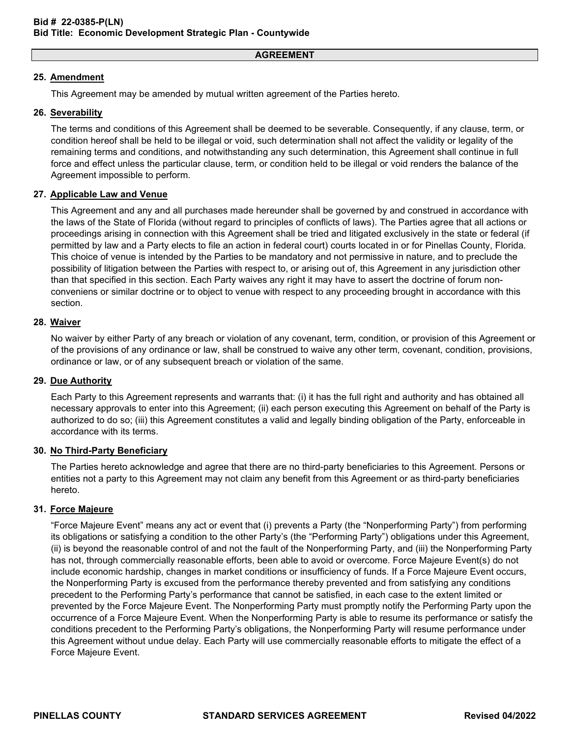### **25. Amendment**

This Agreement may be amended by mutual written agreement of the Parties hereto.

### **26. Severability**

The terms and conditions of this Agreement shall be deemed to be severable. Consequently, if any clause, term, or condition hereof shall be held to be illegal or void, such determination shall not affect the validity or legality of the remaining terms and conditions, and notwithstanding any such determination, this Agreement shall continue in full force and effect unless the particular clause, term, or condition held to be illegal or void renders the balance of the Agreement impossible to perform.

### **27. Applicable Law and Venue**

This Agreement and any and all purchases made hereunder shall be governed by and construed in accordance with the laws of the State of Florida (without regard to principles of conflicts of laws). The Parties agree that all actions or proceedings arising in connection with this Agreement shall be tried and litigated exclusively in the state or federal (if permitted by law and a Party elects to file an action in federal court) courts located in or for Pinellas County, Florida. This choice of venue is intended by the Parties to be mandatory and not permissive in nature, and to preclude the possibility of litigation between the Parties with respect to, or arising out of, this Agreement in any jurisdiction other than that specified in this section. Each Party waives any right it may have to assert the doctrine of forum nonconveniens or similar doctrine or to object to venue with respect to any proceeding brought in accordance with this section.

### **28. Waiver**

No waiver by either Party of any breach or violation of any covenant, term, condition, or provision of this Agreement or of the provisions of any ordinance or law, shall be construed to waive any other term, covenant, condition, provisions, ordinance or law, or of any subsequent breach or violation of the same.

### **29. Due Authority**

Each Party to this Agreement represents and warrants that: (i) it has the full right and authority and has obtained all necessary approvals to enter into this Agreement; (ii) each person executing this Agreement on behalf of the Party is authorized to do so; (iii) this Agreement constitutes a valid and legally binding obligation of the Party, enforceable in accordance with its terms.

### **30. No Third-Party Beneficiary**

The Parties hereto acknowledge and agree that there are no third-party beneficiaries to this Agreement. Persons or entities not a party to this Agreement may not claim any benefit from this Agreement or as third-party beneficiaries hereto.

### **31. Force Majeure**

"Force Majeure Event" means any act or event that (i) prevents a Party (the "Nonperforming Party") from performing its obligations or satisfying a condition to the other Party's (the "Performing Party") obligations under this Agreement, (ii) is beyond the reasonable control of and not the fault of the Nonperforming Party, and (iii) the Nonperforming Party has not, through commercially reasonable efforts, been able to avoid or overcome. Force Majeure Event(s) do not include economic hardship, changes in market conditions or insufficiency of funds. If a Force Majeure Event occurs, the Nonperforming Party is excused from the performance thereby prevented and from satisfying any conditions precedent to the Performing Party's performance that cannot be satisfied, in each case to the extent limited or prevented by the Force Majeure Event. The Nonperforming Party must promptly notify the Performing Party upon the occurrence of a Force Majeure Event. When the Nonperforming Party is able to resume its performance or satisfy the conditions precedent to the Performing Party's obligations, the Nonperforming Party will resume performance under this Agreement without undue delay. Each Party will use commercially reasonable efforts to mitigate the effect of a Force Majeure Event.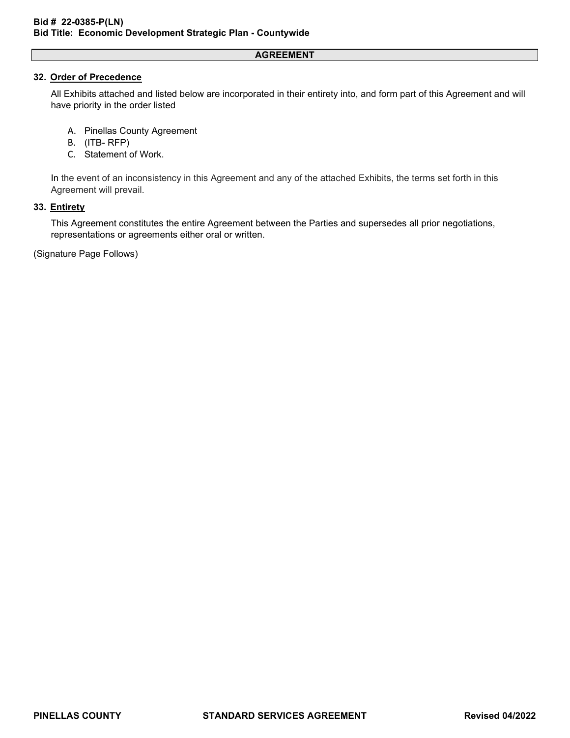### **32. Order of Precedence**

All Exhibits attached and listed below are incorporated in their entirety into, and form part of this Agreement and will have priority in the order listed

- A. Pinellas County Agreement
- B. (ITB- RFP)
- C. Statement of Work.

In the event of an inconsistency in this Agreement and any of the attached Exhibits, the terms set forth in this Agreement will prevail.

### **33. Entirety**

This Agreement constitutes the entire Agreement between the Parties and supersedes all prior negotiations, representations or agreements either oral or written.

(Signature Page Follows)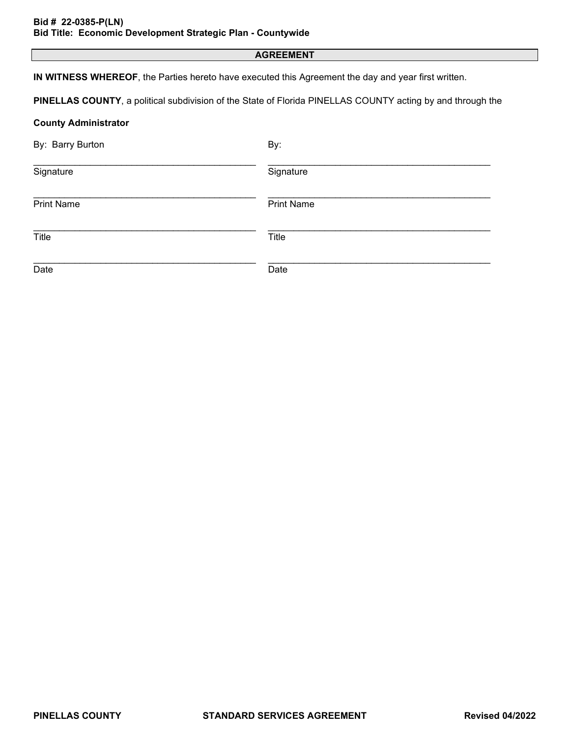**IN WITNESS WHEREOF**, the Parties hereto have executed this Agreement the day and year first written.

**PINELLAS COUNTY**, a political subdivision of the State of Florida PINELLAS COUNTY acting by and through the

### **County Administrator**

| By: Barry Burton  | By:               |
|-------------------|-------------------|
| Signature         | Signature         |
| <b>Print Name</b> | <b>Print Name</b> |
| Title             | Title             |
| Date              | Date              |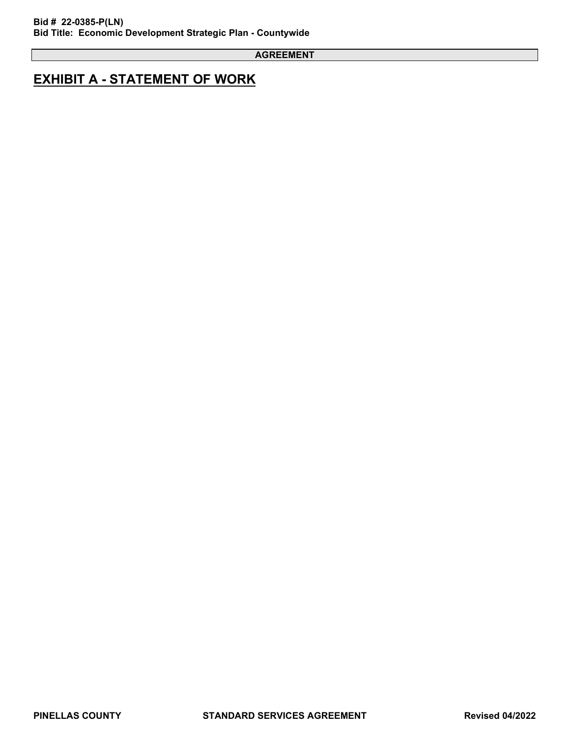## **EXHIBIT A - STATEMENT OF WORK**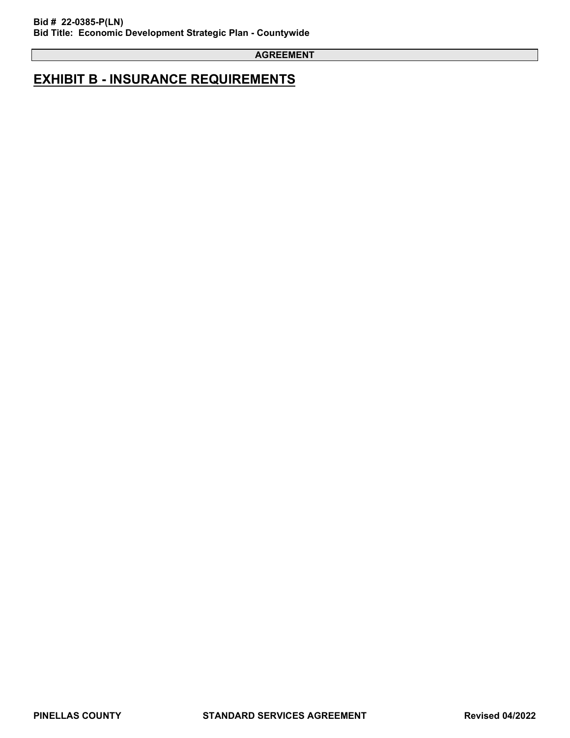## **EXHIBIT B - INSURANCE REQUIREMENTS**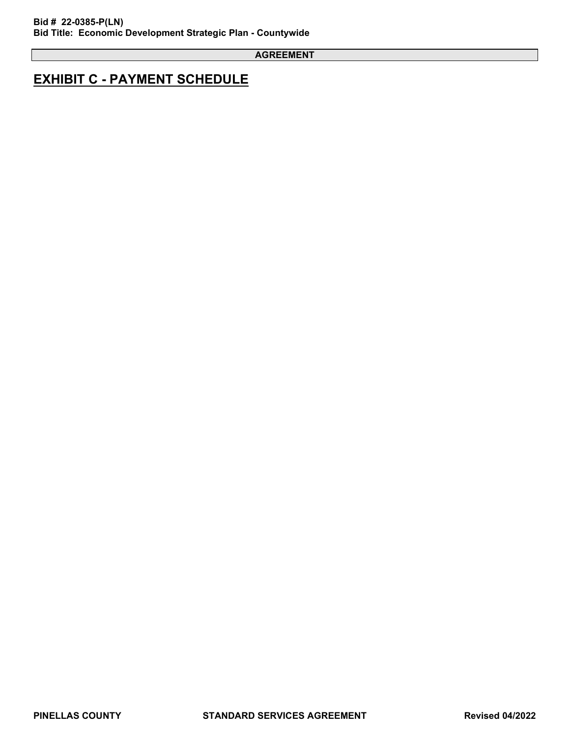## **EXHIBIT C - PAYMENT SCHEDULE**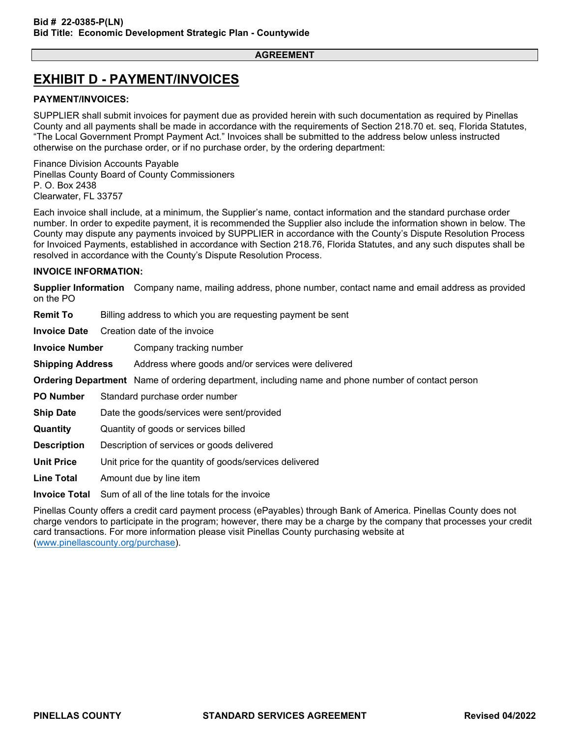## **EXHIBIT D - PAYMENT/INVOICES**

### **PAYMENT/INVOICES:**

SUPPLIER shall submit invoices for payment due as provided herein with such documentation as required by Pinellas County and all payments shall be made in accordance with the requirements of Section 218.70 et. seq, Florida Statutes, "The Local Government Prompt Payment Act." Invoices shall be submitted to the address below unless instructed otherwise on the purchase order, or if no purchase order, by the ordering department:

Finance Division Accounts Payable Pinellas County Board of County Commissioners P. O. Box 2438 Clearwater, FL 33757

Each invoice shall include, at a minimum, the Supplier's name, contact information and the standard purchase order number. In order to expedite payment, it is recommended the Supplier also include the information shown in below. The County may dispute any payments invoiced by SUPPLIER in accordance with the County's Dispute Resolution Process for Invoiced Payments, established in accordance with Section 218.76, Florida Statutes, and any such disputes shall be resolved in accordance with the County's Dispute Resolution Process.

### **INVOICE INFORMATION:**

**Supplier Information** Company name, mailing address, phone number, contact name and email address as provided on the PO

**Remit To** Billing address to which you are requesting payment be sent

**Invoice Date** Creation date of the invoice

**Invoice Number** Company tracking number

**Shipping Address** Address where goods and/or services were delivered

**Ordering Department** Name of ordering department, including name and phone number of contact person

**PO Number** Standard purchase order number

**Ship Date** Date the goods/services were sent/provided

**Quantity** Quantity of goods or services billed

**Description** Description of services or goods delivered

**Unit Price** Unit price for the quantity of goods/services delivered

**Line Total** Amount due by line item

**Invoice Total** Sum of all of the line totals for the invoice

Pinellas County offers a credit card payment process (ePayables) through Bank of America. Pinellas County does not charge vendors to participate in the program; however, there may be a charge by the company that processes your credit card transactions. For more information please visit Pinellas County purchasing website at [\(www.pinellascounty.org/purchase\)](http://www.pinellascounty.org/purchase).